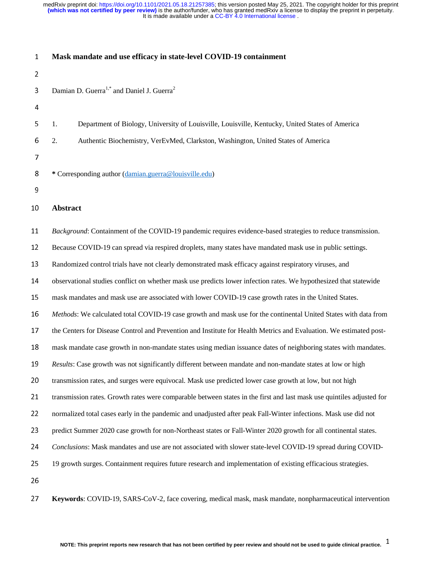| $\mathbf{1}$   | Mask mandate and use efficacy in state-level COVID-19 containment                                                                      |
|----------------|----------------------------------------------------------------------------------------------------------------------------------------|
| $\overline{2}$ |                                                                                                                                        |
| 3              | Damian D. Guerra <sup>1,*</sup> and Daniel J. Guerra <sup>2</sup>                                                                      |
| 4              |                                                                                                                                        |
| 5              | Department of Biology, University of Louisville, Louisville, Kentucky, United States of America<br>1.                                  |
| 6              | Authentic Biochemistry, VerEvMed, Clarkston, Washington, United States of America<br>2.                                                |
| 7              |                                                                                                                                        |
| 8              | * Corresponding author (damian.guerra@louisville.edu)                                                                                  |
| 9              |                                                                                                                                        |
| 10             | <b>Abstract</b>                                                                                                                        |
| 11             | Background: Containment of the COVID-19 pandemic requires evidence-based strategies to reduce transmission.                            |
| 12             | Because COVID-19 can spread via respired droplets, many states have mandated mask use in public settings.                              |
| 13             | Randomized control trials have not clearly demonstrated mask efficacy against respiratory viruses, and                                 |
| 14             | observational studies conflict on whether mask use predicts lower infection rates. We hypothesized that statewide                      |
| 15             | mask mandates and mask use are associated with lower COVID-19 case growth rates in the United States.                                  |
| 16             | Methods: We calculated total COVID-19 case growth and mask use for the continental United States with data from                        |
| 17             | the Centers for Disease Control and Prevention and Institute for Health Metrics and Evaluation. We estimated post-                     |
| 18             | mask mandate case growth in non-mandate states using median issuance dates of neighboring states with mandates.                        |
| 19             | Results: Case growth was not significantly different between mandate and non-mandate states at low or high                             |
| 20             | transmission rates, and surges were equivocal. Mask use predicted lower case growth at low, but not high                               |
| 21             | transmission rates. Growth rates were comparable between states in the first and last mask use quintiles adjusted for                  |
| 22             | normalized total cases early in the pandemic and unadjusted after peak Fall-Winter infections. Mask use did not                        |
| 23             | predict Summer 2020 case growth for non-Northeast states or Fall-Winter 2020 growth for all continental states.                        |
| 24             | Conclusions: Mask mandates and use are not associated with slower state-level COVID-19 spread during COVID-                            |
| 25             | 19 growth surges. Containment requires future research and implementation of existing efficacious strategies.                          |
| 26             |                                                                                                                                        |
| 27             | Keywords: COVID-19, SARS-CoV-2, face covering, medical mask, mask mandate, nonpharmaceutical intervention                              |
|                | NOTE: This preprint reports new research that has not been certified by peer review and should not be used to guide clinical practice. |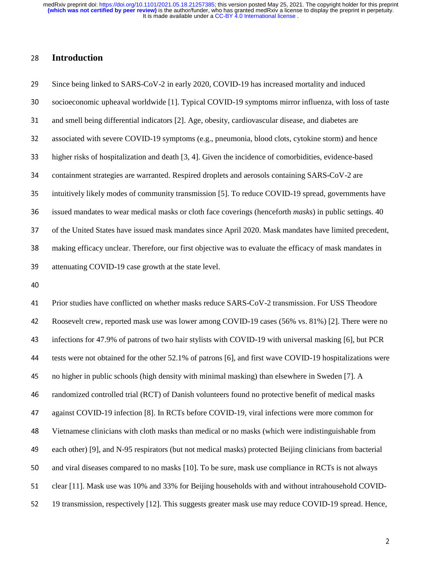28 **Introduction**<br>29 Since being linke<br>30 socioeconomic u<br>31 and smell being of<br>32 associated with s 29 Since being linked to SARS-CoV-2 in early 2020, COVID-19 has increased mortality and induced<br>20 socioeconomic upheaval worldwide [1]. Typical COVID-19 symptoms mirror influenza, with loss<br>21 and smell being differential socioeconomic upheaval worldwide [1]. Typical COVID-19 symptoms mirror influenza, with loss of taste<br>and smell being differential indicators [2]. Age, obesity, cardiovascular disease, and diabetes are<br>associated with sever 31 and smell being differential indicators [2]. Age, obesity, cardiovascular disease, and diabetes are<br>32 associated with severe COVID-19 symptoms (e.g., pneumonia, blood clots, cytokine storm) and l<br>33 higher risks of hos 32 associated with severe COVID-19 symptoms (e.g., pneumonia, blood clots, cytokine storm) and hence<br>33 higher risks of hospitalization and death [3, 4]. Given the incidence of comorbidities, evidence-based<br>34 containment 33 higher risks of hospitalization and death [3, 4]. Given the incidence of comorbidities, evidence-based<br>34 containment strategies are warranted. Respired droplets and aerosols containing SARS-CoV-2 are<br>35 intuitively lik 34 containment strategies are warranted. Respired droplets and aerosols containing SARS-CoV-2 are<br>35 intuitively likely modes of community transmission [5]. To reduce COVID-19 spread, government<br>36 issued mandates to wear 35 intuitively likely modes of community transmission [5]. To reduce COVID-19 spread, governments have<br>36 issued mandates to wear medical masks or cloth face coverings (henceforth *masks*) in public settings. 40<br>37 of the 36 issued mandates to wear medical masks or cloth face coverings (henceforth *masks*) in public settings. 40<br>37 of the United States have issued mask mandates since April 2020. Mask mandates have limited precedent<br>38 makin 37 of the United States have issued mask mandates since April 2020. Mask mandates have limited precedent,<br>38 making efficacy unclear. Therefore, our first objective was to evaluate the efficacy of mask mandates in<br>39 atten

making efficacy unclear. Therefore, our first objective was to evaluate the efficacy of mask mandates in<br>attenuating COVID-19 case growth at the state level.<br>40<br>Prior studies have conflicted on whether masks reduce SARS-Co 39 attenuating COVID-19 case growth at the state level.<br>40<br>41 Prior studies have conflicted on whether masks reduce<br>42 Roosevelt crew, reported mask use was lower among<br>43 infections for 47.9% of patrons of two hair stylis  $41$ <br> $42$ <br> $43$ <br> $44$ Prior studies have conflicted on whether masks reduce SARS-CoV-2 transmission. For USS Theodore<br>
Roosevelt crew, reported mask use was lower among COVID-19 cases (56% vs. 81%) [2]. There were<br>
infections for 47.9% of patro Roosevelt crew, reported mask use was lower among COVID-19 cases (56% vs. 81%) [2]. There were no<br>antifections for 47.9% of patrons of two hair stylists with COVID-19 with universal masking [6], but PCR<br>tests were not obta infections for 47.9% of patrons of two hair stylists with COVID-19 with universal masking [6], but PCR<br>
tests were not obtained for the other 52.1% of patrons [6], and first wave COVID-19 hospitalizations wer<br>
no higher in tests were not obtained for the other 52.1% of patrons [6], and first wave COVID-19 hospitalizations were<br>no higher in public schools (high density with minimal masking) than elsewhere in Sweden [7]. A<br>randomized controlle no higher in public schools (high density with minimal masking) than elsewhere in Sweden [7]. A<br>
46 randomized controlled trial (RCT) of Danish volunteers found no protective benefit of medical ma<br>
47 against COVID-19 infe randomized controlled trial (RCT) of Danish volunteers found no protective benefit of medical masks<br>against COVID-19 infection [8]. In RCTs before COVID-19, viral infections were more common for<br>Vietnamese clinicians with against COVID-19 infection [8]. In RCTs before COVID-19, viral infections were more common for<br>
48 Vietnamese clinicians with cloth masks than medical or no masks (which were indistinguishable from<br>
49 each other) [9], and Vietnamese clinicians with cloth masks than medical or no masks (which were indistinguishable from<br>each other) [9], and N-95 respirators (but not medical masks) protected Beijing clinicians from bacteria<br>and viral diseases each other) [9], and N-95 respirators (but not medical masks) protected Beijing clinicians from bacterial<br>and viral diseases compared to no masks [10]. To be sure, mask use compliance in RCTs is not always<br>clear [11]. Mask 50 and viral diseases compared to no masks [10]. To be sure, mask use compliance in RCTs is not always<br>51 clear [11]. Mask use was 10% and 33% for Beijing households with and without intrahousehold COVI<br>52 19 transmission, 51 clear [11]. Mask use was 10% and 33% for Beijing households with and without intrahousehold COVID-<br>52 19 transmission, respectively [12]. This suggests greater mask use may reduce COVID-19 spread. Hence, 52 19 transmission, respectively [12]. This suggests greater mask use may reduce COVID-19 spread. Hence,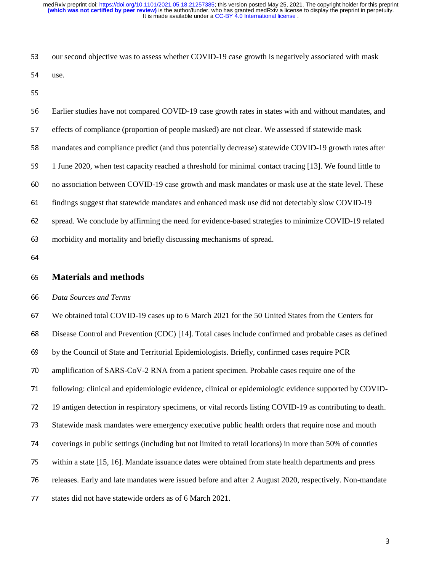53 our second objective was to assess whether COVID-19 case growth is negatively associated with mask<br>54 use.<br>55 Earlier studies have not compared COVID-19 case growth rates in states with and without mandates, an<br>57 effec 54 use.<br>55<br>56 Earli<br>57 effec<br>58 mano 56<br>57<br>58<br>59 Earlier studies have not compared COVID-19 case growth rates in states with and without mandates, and<br>
effects of compliance (proportion of people masked) are not clear. We assessed if statewide mask<br>
mandates and complian E57 effects of compliance (proportion of people masked) are not clear. We assessed if statewide mask<br>mandates and compliance predict (and thus potentially decrease) statewide COVID-19 growth rate<br>1 June 2020, when test cap mandates and compliance predict (and thus potentially decrease) statewide COVID-19 growth rates after<br>
1 June 2020, when test capacity reached a threshold for minimal contact tracing [13]. We found little to<br>
1 Tune 2020, 1 June 2020, when test capacity reached a threshold for minimal contact tracing [13]. We found little to<br>
no association between COVID-19 case growth and mask mandates or mask use at the state level. These<br>
findings sugges 60 no association between COVID-19 case growth and mask mandates or mask use at the state level. These<br>61 findings suggest that statewide mandates and enhanced mask use did not detectably slow COVID-19<br>62 spread. We conclu findings suggest that statewide mandates and enhanced mask use did not detectably slow COVID-19<br>spread. We conclude by affirming the need for evidence-based strategies to minimize COVID-19 rela<br>morbidity and mortality and 62 spread. We conclude by affirming the need for evidence-based strategies to minimize COVID-19 related<br>63 morbidity and mortality and briefly discussing mechanisms of spread.<br>64 **Materials and methods**<br>66 Data Sources and

63 morbidity and mortality and briefly discussing mechanisms of spread.<br>64 **Materials and methods**<br>66 Data Sources and Terms<br>67 We obtained total COVID-19 cases up to 6 March 2021 for the 50 Uni 65<br>66<br>67<br>68 **Materials and methods**<br>66 *Data Sources and Terms*<br>67 We obtained total COVID-19<br>68 Disease Control and Prevention<br>69 by the Council of State and To 66 *Data Sources and Terms*  We obtained total COVID-19 cases up to 6 March 2021 for the 50 United States from the Centers for<br>
Disease Control and Prevention (CDC) [14]. Total cases include confirmed and probable cases as defi<br>
by the Council of Stat Disease Control and Prevention (CDC) [14]. Total cases include confirmed and probable cases as defined<br>by the Council of State and Territorial Epidemiologists. Briefly, confirmed cases require PCR<br>amplification of SARS-CoV 69 by the Council of State and Territorial Epidemiologists. Briefly, confirmed cases require PCR<br>
70 amplification of SARS-CoV-2 RNA from a patient specimen. Probable cases require one of th<br>
71 following: clinical and epi 20 amplification of SARS-CoV-2 RNA from a patient specimen. Probable cases require one of the<br>
21 following: clinical and epidemiologic evidence, clinical or epidemiologic evidence supported by<br>
22 19 antigen detection in 19 following: clinical and epidemiologic evidence, clinical or epidemiologic evidence supported by COVID-<br>
19 antigen detection in respiratory specimens, or vital records listing COVID-19 as contributing to death.<br>
173 Sta 19 antigen detection in respiratory specimens, or vital records listing COVID-19 as contributing to death.<br>
173 Statewide mask mandates were emergency executive public health orders that require nose and mouth<br>
174 coverin 373 Statewide mask mandates were emergency executive public health orders that require nose and mouth<br>
74 coverings in public settings (including but not limited to retail locations) in more than 50% of counties<br>
75 within 74 coverings in public settings (including but not limited to retail locations) in more than 50% of counties<br>
75 within a state [15, 16]. Mandate issuance dates were obtained from state health departments and press<br>
76 rel vithin a state [15, 16]. Mandate issuance dates were obtained from state health departments and press<br>releases. Early and late mandates were issued before and after 2 August 2020, respectively. Non-mand<br>states did not have 76 releases. Early and late mandates were issued before and after 2 August 2020, respectively. Non-mandate states did not have statewide orders as of 6 March 2021. 77 states did not have statewide orders as of 6 March 2021.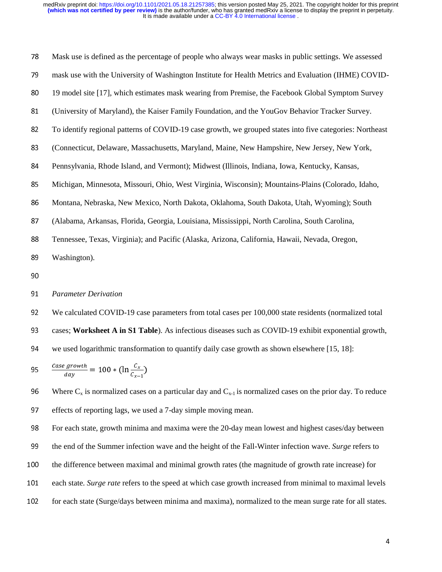| 78     | Mask use is defined as the percentage of people who always wear masks in public settings. We assessed                                                                        |
|--------|------------------------------------------------------------------------------------------------------------------------------------------------------------------------------|
| 79     | mask use with the University of Washington Institute for Health Metrics and Evaluation (IHME) COVID-                                                                         |
| 80     | 19 model site [17], which estimates mask wearing from Premise, the Facebook Global Symptom Survey                                                                            |
| 81     | (University of Maryland), the Kaiser Family Foundation, and the YouGov Behavior Tracker Survey.                                                                              |
| 82     | To identify regional patterns of COVID-19 case growth, we grouped states into five categories: Northeast                                                                     |
| 83     | (Connecticut, Delaware, Massachusetts, Maryland, Maine, New Hampshire, New Jersey, New York,                                                                                 |
| 84     | Pennsylvania, Rhode Island, and Vermont); Midwest (Illinois, Indiana, Iowa, Kentucky, Kansas,                                                                                |
| 85     | Michigan, Minnesota, Missouri, Ohio, West Virginia, Wisconsin); Mountains-Plains (Colorado, Idaho,                                                                           |
| 86     | Montana, Nebraska, New Mexico, North Dakota, Oklahoma, South Dakota, Utah, Wyoming); South                                                                                   |
| 87     | (Alabama, Arkansas, Florida, Georgia, Louisiana, Mississippi, North Carolina, South Carolina,                                                                                |
| 88     | Tennessee, Texas, Virginia); and Pacific (Alaska, Arizona, California, Hawaii, Nevada, Oregon,                                                                               |
| 89     | Washington).                                                                                                                                                                 |
| 90     |                                                                                                                                                                              |
| 91     | <b>Parameter Derivation</b>                                                                                                                                                  |
| 92     | We calculated COVID-19 case parameters from total cases per 100,000 state residents (normalized total                                                                        |
| $\sim$ | $\ldots$ . We half a $\Lambda$ is $\mathfrak{A}$ Table $\Lambda$ , if $\Lambda$ is a set of the set of $\Lambda$ $\Lambda$ and $\Lambda$ and $\Lambda$ is a set of $\Lambda$ |

## 89 Washington).<br>90<br>91 *Parameter De*<br>92 We calculated<br>93 cases; **Works** 91<br>92<br>93<br>94

\n- 91 *Parameter Derivation*
\n- 92 We calculated COVID-19 cas cases; Worksheet A in S1 Ta
\n- 94 we used logarithmic transform
\n- 95 
$$
\frac{case\ growth}{day} = 100 * (\ln \frac{C_x}{C_{x-1}})
$$
\n

92 We calculated COVID-19 case parameters from total cases per 100,000 state residents (normalized total<br>
93 cases; **Worksheet A in S1 Table**). As infectious diseases such as COVID-19 exhibit exponential growth<br>
94 we use 93 cases; **Worksheet A in S1 Table**). As infectious diseases such as COVID-19 exhibit exponential growth,<br>94 we used logarithmic transformation to quantify daily case growth as shown elsewhere [15, 18]:<br>95  $\frac{case\ growth}{day} = 10$ 94 we used logarithmic transformation to quantify daily case growth as shown elsewhere [15, 18]:<br>
95  $\frac{Case\ growth}{day} = 100 * (\ln \frac{C_x}{C_{x-1}})$ <br>
96 Where C<sub>x</sub> is normalized cases on a particular day and C<sub>x-1</sub> is normalized cases

95  $\frac{\text{case } \text{given}}{\text{day}} = 100 * (\ln \frac{c_x}{c_{x-1}})$ <br>
96 Where C<sub>x</sub> is normalized cases of effects of reporting lags, we us<br>
98 For each state, growth minima<br>
99 the end of the Summer infection 96 Where C<sub>x</sub> is normalized cases on a particular day and C<sub>x-1</sub> is normalized cases on the prior day. To reduce<br>97 effects of reporting lags, we used a 7-day simple moving mean.<br>98 For each state, growth minima and maxim effects of reporting lags, we used a 7-day simple moving mean.<br>
98 For each state, growth minima and maxima were the 20-day mean.<br>
99 the end of the Summer infection wave and the height of the Fall<br>
90 the difference betwe 98 For each state, growth minima and maxima were the 20-day mean lowest and highest cases/day between<br>the end of the Summer infection wave and the height of the Fall-Winter infection wave. Surge refers to<br>the difference be 99 the end of the Summer infection wave and the height of the Fall-Winter infection wave. *Surge* refers to the difference between maximal and minimal growth rates (the magnitude of growth rate increase) for each state. *S* the difference between maximal and minimal growth rates (the magnitude of growth rate increase) for each state. *Surge rate* refers to the speed at which case growth increased from minimal to maximal lever for each state ( 101 each state. *Surge rate* refers to the speed at which case growth increased from minimal to maximal levels<br>102 for each state (Surge/days between minima and maxima), normalized to the mean surge rate for all states. 102 for each state (Surge/days between minima and maxima), normalized to the mean surge rate for all states.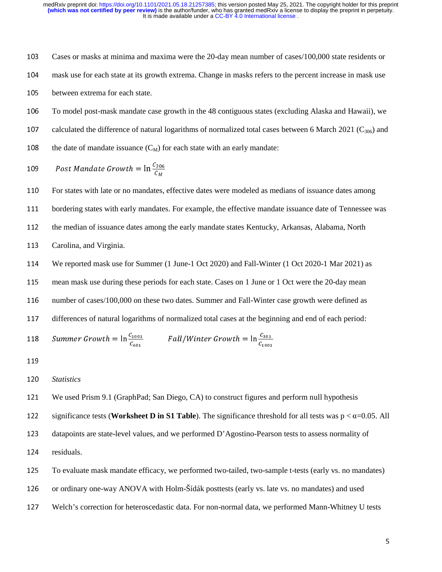Cases or masks at minima and maxima were the 20-day mean number of cases/100,000 state residents or mask use for each state at its growth extrema. Change in masks refers to the percent increase in mask use between extrema

mask use for each state at its growth extrema. Change in masks refers to the percent increase in mask use<br>between extrema for each state.<br>To model post-mask mandate case growth in the 48 contiguous states (excluding Alask 105 between extrema for each state.<br>
106 To model post-mask mandate ca<br>
107 calculated the difference of natu<br>
108 the date of mandate issuance (C<sub>1</sub><br>
109 Post Mandate Growth =  $\ln \frac{5}{2}$ 106 To model post-mask mandate case growth in the 48 contiguous states (excluding Alaska and Hawaii), we<br>
107 calculated the difference of natural logarithms of normalized total cases between 6 March 2021 (C<sub>306</sub>) and<br>
10 107 calculated the difference of natural logarithms of normalized total cases between 6 March 2021 (C<sub>306</sub>) and<br>
108 the date of mandate issuance (C<sub>M</sub>) for each state with an early mandate:<br>
109 Post Mandate Growth =  $\ln$ 

109 Post Mandate Growth = 
$$
\ln \frac{C_{306}}{C_M}
$$

108 the date of mandate issuance (C<sub>M</sub>) for each state with an early mandate:<br>
109 Post Mandate Growth =  $\ln \frac{C_{306}}{C_M}$ <br>
110 For states with late or no mandates, effective dates were modeled as median bordering states ---<br>110<br>111<br>112<br>113 110 For states with late or no mandates, effective dates were modeled as medians of issuance dates among<br>111 bordering states with early mandates. For example, the effective mandate issuance date of Tennessee v<br>112 the med

111 bordering states with early mandates. For example, the effective mandate issuance date of Tennessee was<br>
112 the median of issuance dates among the early mandate states Kentucky, Arkansas, Alabama, North<br>
113 Carolina, the median of issuance dates among the early mandate states Kentucky, Arkansas, Alabama, North<br>
113 Carolina, and Virginia.<br>
114 We reported mask use for Summer (1 June-1 Oct 2020) and Fall-Winter (1 Oct 2020-1 Mar 2021) a 113 Carolina, and Virginia.<br>114 We reported mask use f<br>115 mean mask use during t<br>116 number of cases/100,00<br>117 differences of natural lo 114 We reported mask use for Summer (1 June-1 Oct 2020) and Fall-Winter (1 Oct 2020-1 Mar 2021) as<br>
115 mean mask use during these periods for each state. Cases on 1 June or 1 Oct were the 20-day mean<br>
116 number of cases 115 mean mask use during these periods for each state. Cases on 1 June or 1 Oct were the 20-day mean<br>
116 number of cases/100,000 on these two dates. Summer and Fall-Winter case growth were defined as<br>
117 differences of 116 number of cases/100,000 on these two dates. Summer and Fall-Winter case growth were defined as<br>
117 differences of natural logarithms of normalized total cases at the beginning and end of each period:<br>
118 Summer Grow 117 differences of natural logarithms of normalized total cases at the beginning and end of each period:<br>
118 Summer Growth =  $\ln \frac{C_{1001}}{C_{601}}$  Fall/W inter Growth =  $\ln \frac{C_{301}}{C_{1001}}$ <br>
119 Statistics<br>
121 We used

118  *Summer Growth* = 
$$
\ln \frac{C_{1001}}{C_{601}}
$$
 *Fall/Winter Growth* =  $\ln \frac{C_{301}}{C_{1001}}$ 

119<br>120<br>121<br>122 120<br>121<br>122<br>123 120 *Statistics*<br>121 We used 1<br>122 significan<br>123 datapoint:<br>124 residuals. 121 We used Prism 9.1 (GraphPad; San Diego, CA) to construct figures and perform null hypothesis<br>
122 significance tests (**Worksheet D in S1 Table**). The significance threshold for all tests was  $p < \alpha$ <br>
123 datapoints are 122 significance tests (**Worksheet D in S1 Table**). The significance threshold for all tests was p < α=0.05. All<br>123 datapoints are state-level values, and we performed D'Agostino-Pearson tests to assess normality of<br>124

datapoints are state-level values, and we performed D'Agostino-Pearson tests to assess normality of<br>124 residuals.<br>125 To evaluate mask mandate efficacy, we performed two-tailed, two-sample t-tests (early vs. no manda<br>126 124 residuals.<br>125 To evalual<br>126 or ordinar<sub>.</sub><br>127 Welch's c 125 To evaluate mask mandate efficacy, we performed two-tailed, two-sample t-tests (early vs. no mandates)<br>126 or ordinary one-way ANOVA with Holm-Šídák posttests (early vs. late vs. no mandates) and used<br>127 Welch's corre

126 or ordinary one-way ANOVA with Holm-Sídák posttests (early vs. late vs. no mandates) and used<br>127 Welch's correction for heteroscedastic data. For non-normal data, we performed Mann-Whitney U<br>127 Welch's correction for 127 Welch's correction for heteroscedastic data. For non-normal data, we performed Mann-Whitney U tests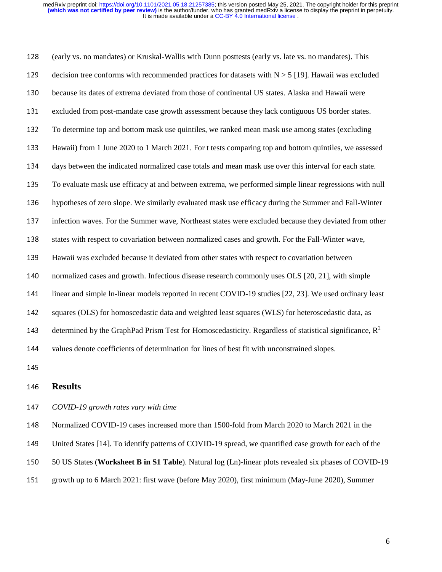(early vs. no mandates) or Kruskal-Wallis with Dunn posttests (early vs. late vs. no mandates). This<br>
decision tree conforms with recommended practices for datasets with  $N > 5$  [19]. Hawaii was exclud<br>
because its dates o decision tree conforms with recommended practices for datasets with  $N > 5$  [19]. Hawaii was excluded<br>because its dates of extrema deviated from those of continental US states. Alaska and Hawaii were<br>excluded from post-man because its dates of extrema deviated from those of continental US states. Alaska and Hawaii were<br>excluded from post-mandate case growth assessment because they lack contiguous US border states<br>To determine top and bottom excluded from post-mandate case growth assessment because they lack contiguous US border states.<br>
To determine top and bottom mask use quintiles, we ranked mean mask use among states (excluding<br>
Hawaii) from 1 June 2020 to 132 To determine top and bottom mask use quintiles, we ranked mean mask use among states (excluding<br>
133 Hawaii) from 1 June 2020 to 1 March 2021. For t tests comparing top and bottom quintiles, we assess<br>
134 days between Hawaii) from 1 June 2020 to 1 March 2021. For t tests comparing top and bottom quintiles, we assessed<br>days between the indicated normalized case totals and mean mask use over this interval for each state.<br>To evaluate mask days between the indicated normalized case totals and mean mask use over this interval for each state.<br>135 To evaluate mask use efficacy at and between extrema, we performed simple linear regressions with n<br>136 hypotheses 135 To evaluate mask use efficacy at and between extrema, we performed simple linear regressions with null<br>136 hypotheses of zero slope. We similarly evaluated mask use efficacy during the Summer and Fall-Winter<br>137 infect hypotheses of zero slope. We similarly evaluated mask use efficacy during the Summer and Fall-Winter<br>infection waves. For the Summer wave, Northeast states were excluded because they deviated from other<br>states with respect infection waves. For the Summer wave, Northeast states were excluded because they deviated from other<br>states with respect to covariation between normalized cases and growth. For the Fall-Winter wave,<br>Hawaii was excluded be states with respect to covariation between normalized cases and growth. For the Fall-Winter wave,<br>
Hawaii was excluded because it deviated from other states with respect to covariation between<br>
normalized cases and growth. Hawaii was excluded because it deviated from other states with respect to covariation between<br>normalized cases and growth. Infectious disease research commonly uses OLS [20, 21], with si<br>linear and simple ln-linear models normalized cases and growth. Infectious disease research commonly uses OLS [20, 21], with simple<br>
linear and simple In-linear models reported in recent COVID-19 studies [22, 23]. We used ordinary 1<br>
142 squares (OLS) for h 141 linear and simple ln-linear models reported in recent COVID-19 studies [22, 23]. We used ordinary least<br>142 squares (OLS) for homoscedastic data and weighted least squares (WLS) for heteroscedastic data, as<br>143 determi 142 squares (OLS) for homoscedastic data and weighted least squares (WLS) for heteroscedastic data, as<br>143 determined by the GraphPad Prism Test for Homoscedasticity. Regardless of statistical significance,<br>144 values deno determined by the GraphPad Prism Test for Homoscedasticity. Regardless of statistical significance,  $R^2$ 144<br>145<br>146<br>147 values denote coefficients of determination for lines of best fit with unconstrained slopes.<br>
145<br> **Results**<br>
147 COVID-19 growth rates vary with time<br>
148 Normalized COVID-19 cases increased more than 1500-fold from March

146<br>147<br>148<br>149 **146 Results<br>
147** *COVID-1***<br>
148 Normalize<br>
149 United Sta<br>
150 50 US Sta** 2147 *COVID-19 growth rates vary with time*<br>148 Normalized COVID-19 cases increased<br>149 United States [14]. To identify patterns<br>150 50 US States (**Worksheet B in S1 Tabl**<br>151 growth up to 6 March 2021: first wave ( 148 Normalized COVID-19 cases increased more than 1500-fold from March 2020 to March 2021 in the<br>149 United States [14]. To identify patterns of COVID-19 spread, we quantified case growth for each of t<br>150 50 US States (**W** 

United States [14]. To identify patterns of COVID-19 spread, we quantified case growth for each of the<br>150 SO US States (**Worksheet B in S1 Table**). Natural log (Ln)-linear plots revealed six phases of COVID-1<br>151 growth u

- 150 50 US States (**Worksheet B in S1 Table**). Natural log (Ln)-linear plots revealed six phases of COVID-19 growth up to 6 March 2021: first wave (before May 2020), first minimum (May-June 2020), Summer 6
- 151 growth up to 6 March 2021: first wave (before May 2020), first minimum (May-June 2020), Summer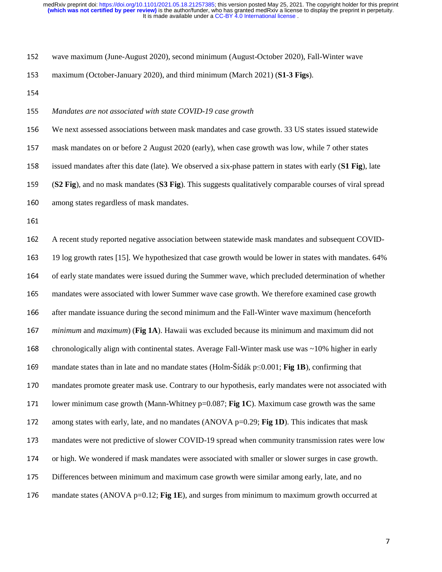- 
- 
- 

wave maximum (June-August 2020), second minimum (August-October 2020), Fall-Winter wave<br>
maximum (October-January 2020), and third minimum (March 2021) (**S1-3 Figs**).<br>
154<br> *Mandates are not associated with state COVID-19* maximum (October-January 2020), and third minimum (March 2021) (**S1-3 Figs**).<br>154<br>**Mandates are not associated with state COVID-19 case growth**<br>156 We next assessed associations between mask mandates and case growth. 33 US 155<br>156<br>157<br>158 Mandates are not associated with state COVID-19 case growth<br>156 We next assessed associations between mask mandates and case<br>157 mask mandates on or before 2 August 2020 (early), when case g<br>158 issued mandates after this We next assessed associations between mask mandates and case growth. 33 US states issued statewide<br>
mask mandates on or before 2 August 2020 (early), when case growth was low, while 7 other states<br>
issued mandates after th mask mandates on or before 2 August 2020 (early), when case growth was low, while 7 other states<br>158 issued mandates after this date (late). We observed a six-phase pattern in states with early (**S1 Fig**), 1<br>159 **(S2 Fig**) 158 issued mandates after this date (late). We observed a six-phase pattern in states with early (**S1 Fig**), late<br>
159 (**S2 Fig**), and no mask mandates (**S3 Fig**). This suggests qualitatively comparable courses of viral sp

- 
- 

159 **(S2 Fig**), and no mask mandates **(S3 Fig**). This suggests qualitatively comparable courses of viral spread<br>160 among states regardless of mask mandates.<br>161 A recent study reported negative association between statewi 2016 160 among states regardless of mask mandates.<br>
161<br>
162 A recent study reported negative association<br>
163 19 log growth rates [15]. We hypothesized to the of early state mandates were issued during the mandates were a ---<br>162<br>163<br>164<br>165 162 A recent study reported negative association between statewide mask mandates and subsequent COVID-<br>163 19 log growth rates [15]. We hypothesized that case growth would be lower in states with mandates. 64%<br>164 of early 163 19 log growth rates [15]. We hypothesized that case growth would be lower in states with mandates. 64% of early state mandates were issued during the Summer wave, which precluded determination of whether mandates were 164 of early state mandates were issued during the Summer wave, which precluded determination of whether<br>165 mandates were associated with lower Summer wave case growth. We therefore examined case growth<br>166 after mandate mandates were associated with lower Summer wave case growth. We therefore examined case growth<br>
after mandate issuance during the second minimum and the Fall-Winter wave maximum (henceforth<br>
minimum and maximum) (Fig 1A). 166 after mandate issuance during the second minimum and the Fall-Winter wave maximum (henceforth *minimum* and *maximum*) (**Fig 1A**). Hawaii was excluded because its minimum and maximum did not chronologically align with *minimum* and *maximum*) (**Fig 1A**). Hawaii was excluded because its minimum and maximum did not<br>
chronologically align with continental states. Average Fall-Winter mask use was ~10% higher in early<br>
mandate states than i 168 chronologically align with continental states. Average Fall-Winter mask use was ~10% higher in early<br>
169 mandate states than in late and no mandate states (Holm-Šídák p≤0.001; **Fig 1B**), confirming that<br>
170 mandates 169 mandate states than in late and no mandate states (Holm-Sídák p≤0.001; **Fig 1B**), confirming that<br>170 mandates promote greater mask use. Contrary to our hypothesis, early mandates were not associat<br>171 lower minimum c mandates promote greater mask use. Contrary to our hypothesis, early mandates were not associated with<br>171 lower minimum case growth (Mann-Whitney p=0.087; **Fig 1C**). Maximum case growth was the same<br>172 among states with 171 lower minimum case growth (Mann-Whitney p=0.087; **Fig 1C**). Maximum case growth was the same<br>
172 among states with early, late, and no mandates (ANOVA p=0.29; **Fig 1D**). This indicates that mask<br>
173 mandates were no among states with early, late, and no mandates (ANOVA p=0.29; **Fig 1D**). This indicates that mask<br>mandates were not predictive of slower COVID-19 spread when community transmission rates were<br>or high. We wondered if mask m mandates were not predictive of slower COVID-19 spread when community transmission rates were low<br>or high. We wondered if mask mandates were associated with smaller or slower surges in case growth.<br>Differences between min or high. We wondered if mask mandates were associated with smaller or slower surges in case growth.<br>
175 Differences between minimum and maximum case growth were similar among early, late, and no<br>
176 mandate states (ANOVA 175 Differences between minimum and maximum case growth were similar among early, late, and no<br>176 mandate states (ANOVA p=0.12; **Fig 1E**), and surges from minimum to maximum growth occurre<br>176 176 mandate states (ANOVA p=0.12; **Fig 1E**), and surges from minimum to maximum growth occurred at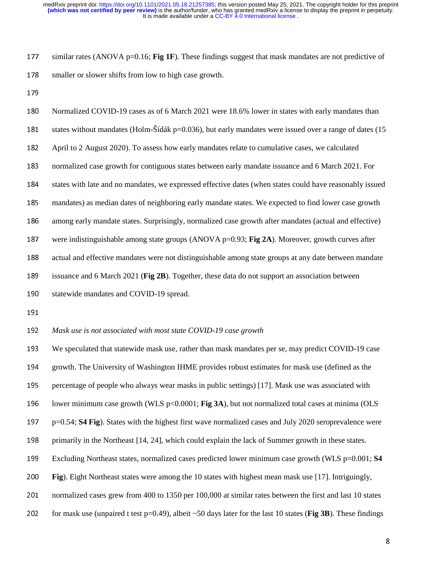similar rates (ANOVA p=0.16; **Fig 1F**). These findings suggest that mask mandates are not predictive of<br>178 smaller or slower shifts from low to high case growth.<br>179 Normalized COVID-19 cases as of 6 March 2021 were 18.6% 178 smaller or slower shifts from low to high case growth.<br>
179 Normalized COVID-19 cases as of 6 March 2021 were<br>
181 states without mandates (Holm-Šídák p=0.036), but ea<br>
182 April to 2 August 2020). To assess how early 180<br>181<br>182<br>183 180 Normalized COVID-19 cases as of 6 March 2021 were 18.6% lower in states with early mandates than<br>181 states without mandates (Holm-Šídák p=0.036), but early mandates were issued over a range of dates (1<br>182 April to 2 181 states without mandates (Holm-Sídák p=0.036), but early mandates were issued over a range of dates (15<br>182 April to 2 August 2020). To assess how early mandates relate to cumulative cases, we calculated<br>183 normalized April to 2 August 2020). To assess how early mandates relate to cumulative cases, we calculated<br>
normalized case growth for contiguous states between early mandate issuance and 6 March 2021.<br>
states with late and no mandat normalized case growth for contiguous states between early mandate issuance and 6 March 2021. For<br>184 states with late and no mandates, we expressed effective dates (when states could have reasonably issue<br>185 mandates) as tates with late and no mandates, we expressed effective dates (when states could have reasonably issued<br>
mandates) as median dates of neighboring early mandate states. We expected to find lower case growth<br>
among early man mandates) as median dates of neighboring early mandate states. We expected to find lower case growth<br>
among early mandate states. Surprisingly, normalized case growth after mandates (actual and effective)<br>
were indistingui among early mandate states. Surprisingly, normalized case growth after mandates (actual and effective)<br>were indistinguishable among state groups (ANOVA p=0.93; **Fig 2A**). Moreover, growth curves after<br>actual and effective were indistinguishable among state groups (ANOVA p=0.93; **Fig 2A**). Moreover, growth curves after<br>actual and effective mandates were not distinguishable among state groups at any date between manda<br>issuance and 6 March 202 actual and effective mandates were not distinguishable among state groups at any date between mandate<br>189 issuance and 6 March 2021 (**Fig 2B**). Together, these data do not support an association between<br>190 statewide manda issuance and 6 March 2021 (**Fig 2B**). Together, these data do not support an association between<br>statewide mandates and COVID-19 spread.<br>191 *Mask use is not associated with most state COVID-19 case growth*<br>193 We speculat

190 statewide mandates and COVID-19 spread.<br>
191 *Mask use is not associated with most state C*<br>
193 We speculated that statewide mask use, rath<br>
194 growth. The University of Washington IHM 192<br>193<br>194<br>195 192 *Mask use is not associated with most state COVID-19 case growth*<br>193 We speculated that statewide mask use, rather than mask mandates<br>194 growth. The University of Washington IHME provides robust estin<br>195 percentage We speculated that statewide mask use, rather than mask mandates per se, may predict COVID-19 case<br>growth. The University of Washington IHME provides robust estimates for mask use (defined as the<br>percentage of people who a 194 growth. The University of Washington IHME provides robust estimates for mask use (defined as the percentage of people who always wear masks in public settings) [17]. Mask use was associated with lower minimum case gro 195 percentage of people who always wear masks in public settings) [17]. Mask use was associated with<br>
196 lower minimum case growth (WLS p<0.0001; **Fig 3A**), but not normalized total cases at minima (OI<br>
197 p=0.54; **S4** 196 lower minimum case growth (WLS p<0.0001; **Fig 3A**), but not normalized total cases at minima (OLS p=0.54; **S4 Fig**). States with the highest first wave normalized cases and July 2020 seroprevalence were primarily in th 197 p=0.54; **S4 Fig**). States with the highest first wave normalized cases and July 2020 seroprevalence were<br>198 primarily in the Northeast [14, 24], which could explain the lack of Summer growth in these states.<br>199 Exclu 198 primarily in the Northeast [14, 24], which could explain the lack of Summer growth in these states.<br>
199 Excluding Northeast states, normalized cases predicted lower minimum case growth (WLS p=0.001<br>
199 Fig). Eight N 199 Excluding Northeast states, normalized cases predicted lower minimum case growth (WLS p=0.001; **S4**<br>
199 Fig. Eight Northeast states were among the 10 states with highest mean mask use [17]. Intriguingly,<br>
199 normaliz 200 **Fig**). Eight Northeast states were among the 10 states with highest mean mask use [17]. Intriguingly, normalized cases grew from 400 to 1350 per 100,000 at similar rates between the first and last 10 state for mask u 201 normalized cases grew from 400 to 1350 per 100,000 at similar rates between the first and last 10 states<br>202 for mask use (unpaired t test p=0.49), albeit ~50 days later for the last 10 states (**Fig 3B**). These findin 202 for mask use (unpaired t test p=0.49), albeit  $\sim$  50 days later for the last 10 states (**Fig 3B**). These findings  $\sim$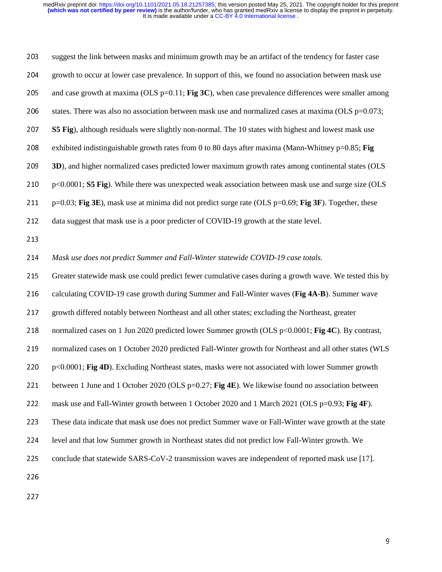| 203 | suggest the link between masks and minimum growth may be an artifact of the tendency for faster case         |   |
|-----|--------------------------------------------------------------------------------------------------------------|---|
| 204 | growth to occur at lower case prevalence. In support of this, we found no association between mask use       |   |
| 205 | and case growth at maxima (OLS $p=0.11$ ; Fig 3C), when case prevalence differences were smaller among       |   |
| 206 | states. There was also no association between mask use and normalized cases at maxima (OLS $p=0.073$ ;       |   |
| 207 | <b>S5 Fig</b> ), although residuals were slightly non-normal. The 10 states with highest and lowest mask use |   |
| 208 | exhibited indistinguishable growth rates from 0 to 80 days after maxima (Mann-Whitney $p=0.85$ ; Fig         |   |
| 209 | 3D), and higher normalized cases predicted lower maximum growth rates among continental states (OLS          |   |
| 210 | p<0.0001; S5 Fig). While there was unexpected weak association between mask use and surge size (OLS          |   |
| 211 | $p=0.03$ ; Fig 3E), mask use at minima did not predict surge rate (OLS $p=0.69$ ; Fig 3F). Together, these   |   |
| 212 | data suggest that mask use is a poor predicter of COVID-19 growth at the state level.                        |   |
| 213 |                                                                                                              |   |
| 214 | Mask use does not predict Summer and Fall-Winter statewide COVID-19 case totals.                             |   |
| 215 | Greater statewide mask use could predict fewer cumulative cases during a growth wave. We tested this by      |   |
| 216 | calculating COVID-19 case growth during Summer and Fall-Winter waves (Fig 4A-B). Summer wave                 |   |
| 217 | growth differed notably between Northeast and all other states; excluding the Northeast, greater             |   |
| 218 | normalized cases on 1 Jun 2020 predicted lower Summer growth (OLS p<0.0001; Fig 4C). By contrast,            |   |
| 219 | normalized cases on 1 October 2020 predicted Fall-Winter growth for Northeast and all other states (WLS      |   |
| 220 | p<0.0001; Fig 4D). Excluding Northeast states, masks were not associated with lower Summer growth            |   |
| 221 | between 1 June and 1 October 2020 (OLS $p=0.27$ ; Fig 4E). We likewise found no association between          |   |
| 222 | mask use and Fall-Winter growth between 1 October 2020 and 1 March 2021 (OLS p=0.93; Fig 4F).                |   |
| 223 | These data indicate that mask use does not predict Summer wave or Fall-Winter wave growth at the state       |   |
| 224 | level and that low Summer growth in Northeast states did not predict low Fall-Winter growth. We              |   |
| 225 | conclude that statewide SARS-CoV-2 transmission waves are independent of reported mask use [17].             |   |
| 226 |                                                                                                              |   |
| 227 |                                                                                                              |   |
|     |                                                                                                              |   |
|     |                                                                                                              |   |
|     |                                                                                                              | 9 |
|     |                                                                                                              |   |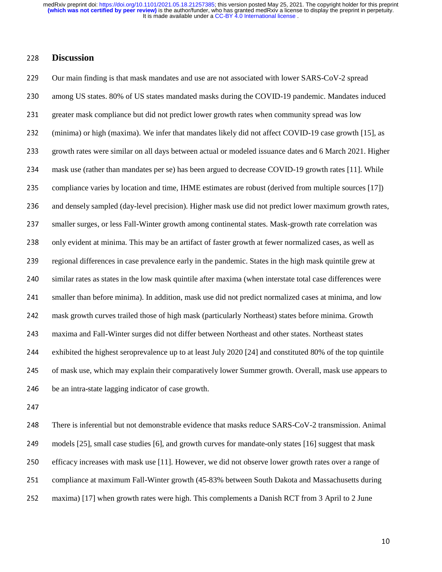228 **Discussion**<br>229 Our main find<br>230 among US sta<br>231 greater mask of<br>232 (minima) or h 229 Our main finding is that mask mandates and use are not associated with lower SARS-CoV-2 spread<br>230 among US states. 80% of US states mandated masks during the COVID-19 pandemic. Mandates ind<br>231 greater mask compliance among US states. 80% of US states mandated masks during the COVID-19 pandemic. Mandates induced<br>231 greater mask compliance but did not predict lower growth rates when community spread was low<br>232 (minima) or high (maxima) greater mask compliance but did not predict lower growth rates when community spread was low<br>
(minima) or high (maxima). We infer that mandates likely did not affect COVID-19 case growth<br>
growth rates were similar on all d (minima) or high (maxima). We infer that mandates likely did not affect COVID-19 case growth [15], as<br>233 growth rates were similar on all days between actual or modeled issuance dates and 6 March 2021. Highe<br>234 mask use growth rates were similar on all days between actual or modeled issuance dates and 6 March 2021. Higher<br>mask use (rather than mandates per se) has been argued to decrease COVID-19 growth rates [11]. While<br>compliance varies mask use (rather than mandates per se) has been argued to decrease COVID-19 growth rates [11]. While<br>
235 compliance varies by location and time, IHME estimates are robust (derived from multiple sources [17])<br>
236 and dens compliance varies by location and time, IHME estimates are robust (derived from multiple sources [17]) and densely sampled (day-level precision). Higher mask use did not predict lower maximum growth rates smaller surges, o and densely sampled (day-level precision). Higher mask use did not predict lower maximum growth rates,<br>
smaller surges, or less Fall-Winter growth among continental states. Mask-growth rate correlation was<br>
only evident at 237 smaller surges, or less Fall-Winter growth among continental states. Mask-growth rate correlation was<br>238 only evident at minima. This may be an artifact of faster growth at fewer normalized cases, as well as<br>239 regio only evident at minima. This may be an artifact of faster growth at fewer normalized cases, as well as<br>
regional differences in case prevalence early in the pandemic. States in the high mask quintile grew at<br>
240 similar r regional differences in case prevalence early in the pandemic. States in the high mask quintile grew at<br>
240 similar rates as states in the low mask quintile after maxima (when interstate total case differences wer<br>
241 sm 240 similar rates as states in the low mask quintile after maxima (when interstate total case differences were<br>241 smaller than before minima). In addition, mask use did not predict normalized cases at minima, and low<br>242 smaller than before minima). In addition, mask use did not predict normalized cases at minima, and low<br>242 mask growth curves trailed those of high mask (particularly Northeast) states before minima. Growth<br>243 maxima and mask growth curves trailed those of high mask (particularly Northeast) states before minima. Growth<br>maxima and Fall-Winter surges did not differ between Northeast and other states. Northeast states<br>exhibited the highest se maxima and Fall-Winter surges did not differ between Northeast and other states. Northeast states<br>
exhibited the highest seroprevalence up to at least July 2020 [24] and constituted 80% of the top qu<br>
of mask use, which ma exhibited the highest seroprevalence up to at least July 2020 [24] and constituted 80% of the top quintile<br>245 of mask use, which may explain their comparatively lower Summer growth. Overall, mask use appears to<br>246 be an

of mask use, which may explain their comparatively lower Summer growth. Overall, mask use appears to<br>246 be an intra-state lagging indicator of case growth.<br>247<br>248 There is inferential but not demonstrable evidence that m be an intra-state lagging indicator of case growth.<br>
247<br>
248 There is inferential but not demonstrable evidence<br>
249 models [25], small case studies [6], and growth cu<br>
250 efficacy increases with mask use [11]. However, 248<br>249<br>250<br>251 There is inferential but not demonstrable evidence that masks reduce SARS-CoV-2 transmission. Animal<br>249 models [25], small case studies [6], and growth curves for mandate-only states [16] suggest that mask<br>250 efficacy in 249 models [25], small case studies [6], and growth curves for mandate-only states [16] suggest that mask<br>250 efficacy increases with mask use [11]. However, we did not observe lower growth rates over a range o<br>251 complia 250 efficacy increases with mask use [11]. However, we did not observe lower growth rates over a range of compliance at maximum Fall-Winter growth (45-83% between South Dakota and Massachusetts during maxima) [17] when gro 251 compliance at maximum Fall-Winter growth (45-83% between South Dakota and Massachusetts during<br>252 maxima) [17] when growth rates were high. This complements a Danish RCT from 3 April to 2 June<br>252 252 maxima) [17] when growth rates were high. This complements a Danish RCT from 3 April to 2 June<br>
252 maxima) [17] when growth rates were high. This complements a Danish RCT from 3 April to 2 June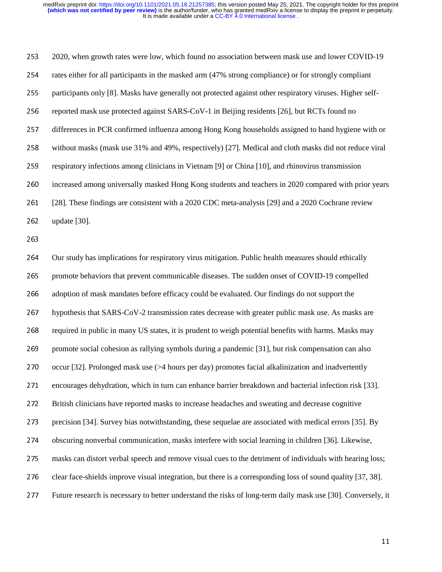253 2020, when growth rates were low, which found no association between mask use and lower COVID-19 rates either for all participants in the masked arm (47% strong compliance) or for strongly compliant participants only [ rates either for all participants in the masked arm (47% strong compliance) or for strongly compliant<br>
participants only [8]. Masks have generally not protected against other respiratory viruses. Higher sel<br>
reported mask participants only [8]. Masks have generally not protected against other respiratory viruses. Higher self-<br>
256 reported mask use protected against SARS-CoV-1 in Beijing residents [26], but RCTs found no<br>
257 differences in reported mask use protected against SARS-CoV-1 in Beijing residents [26], but RCTs found no<br>differences in PCR confirmed influenza among Hong Kong households assigned to hand hygien<br>without masks (mask use 31% and 49%, res differences in PCR confirmed influenza among Hong Kong households assigned to hand hygiene with or<br>258 without masks (mask use 31% and 49%, respectively) [27]. Medical and cloth masks did not reduce viral<br>259 respiratory i without masks (mask use 31% and 49%, respectively) [27]. Medical and cloth masks did not reduce viral<br>
respiratory infections among clinicians in Vietnam [9] or China [10], and rhinovirus transmission<br>
increased among univ respiratory infections among clinicians in Vietnam [9] or China [10], and rhinovirus transmission<br>260 increased among universally masked Hong Kong students and teachers in 2020 compared with pri<br>261 [28]. These findings ar increased among universally masked Hong Kong students and teachers in 2020 compared with prior years<br>
261 [28]. These findings are consistent with a 2020 CDC meta-analysis [29] and a 2020 Cochrane review<br>
262 update [30].<br> 261 [28]. These findings are consistent with a 2020 CDC meta-analysis [29] and a 2020 Cochrane review<br>262 update [30].<br>263 Our study has implications for respiratory virus mitigation. Public health measures should ethicall 262 update [30].<br>263<br>264 Our study ha<br>265 promote beh.<br>265 adoption of r ---<br>264<br>265<br>266<br>267 264 Our study has implications for respiratory virus mitigation. Public health measures should ethically<br>265 promote behaviors that prevent communicable diseases. The sudden onset of COVID-19 compelled<br>266 adoption of mask promote behaviors that prevent communicable diseases. The sudden onset of COVID-19 compelled<br>
266 adoption of mask mandates before efficacy could be evaluated. Our findings do not support the<br>
267 hypothesis that SARS-CoVadoption of mask mandates before efficacy could be evaluated. Our findings do not support the<br>
267 hypothesis that SARS-CoV-2 transmission rates decrease with greater public mask use. As masl<br>
268 required in public in man hypothesis that SARS-CoV-2 transmission rates decrease with greater public mask use. As masks are<br>
268 required in public in many US states, it is prudent to weigh potential benefits with harms. Masks may<br>
269 promote soci required in public in many US states, it is prudent to weigh potential benefits with harms. Masks may<br>269 promote social cohesion as rallying symbols during a pandemic [31], but risk compensation can also<br>270 occur [32]. P promote social cohesion as rallying symbols during a pandemic [31], but risk compensation can also<br>
occur [32]. Prolonged mask use (>4 hours per day) promotes facial alkalinization and inadvertently<br>
encourages dehydration occur [32]. Prolonged mask use (>4 hours per day) promotes facial alkalinization and inadvertently<br>
encourages dehydration, which in turn can enhance barrier breakdown and bacterial infection risk [3<br>
272 British clinician encourages dehydration, which in turn can enhance barrier breakdown and bacterial infection risk [33].<br>
272 British clinicians have reported masks to increase headaches and sweating and decrease cognitive<br>
273 precision [3 272 British clinicians have reported masks to increase headaches and sweating and decrease cognitive<br>273 precision [34]. Survey bias notwithstanding, these sequelae are associated with medical errors [35]<br>274 obscuring non precision [34]. Survey bias notwithstanding, these sequelae are associated with medical errors [35]. By<br>
274 obscuring nonverbal communication, masks interfere with social learning in children [36]. Likewise,<br>
275 masks ca 274 obscuring nonverbal communication, masks interfere with social learning in children [36]. Likewise,<br>275 masks can distort verbal speech and remove visual cues to the detriment of individuals with hearing le<br>276 clear f 275 masks can distort verbal speech and remove visual cues to the detriment of individuals with hearing loss;<br>276 clear face-shields improve visual integration, but there is a corresponding loss of sound quality [37, 38].<br> 276 clear face-shields improve visual integration, but there is a corresponding loss of sound quality [37, 38].<br>277 Future research is necessary to better understand the risks of long-term daily mask use [30]. Conversely,<br> 277 Future research is necessary to better understand the risks of long-term daily mask use [30]. Conversely, it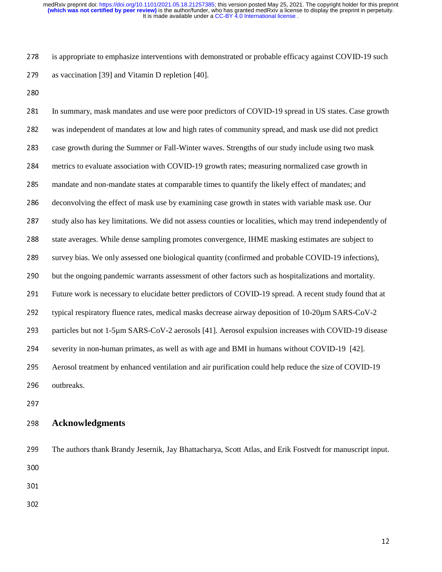is appropriate to emphasize interventions with demonstrated or probable efficacy against COVID-19 such<br>as vaccination [39] and Vitamin D repletion [40].<br>280<br>281 In summary, mask mandates and use were poor predictors of COV 279 as vaccination [39] and Vitamin D repletion [40].<br>280<br>281 In summary, mask mandates and use were poor pr<br>282 was independent of mandates at low and high rate<br>283 case growth during the Summer or Fall-Winter wa 281<br>282<br>283<br>284 In summary, mask mandates and use were poor predictors of COVID-19 spread in US states. Case growth<br>was independent of mandates at low and high rates of community spread, and mask use did not predict<br>case growth during the was independent of mandates at low and high rates of community spread, and mask use did not predict<br>
283 case growth during the Summer or Fall-Winter waves. Strengths of our study include using two mask<br>
284 metrics to eva case growth during the Summer or Fall-Winter waves. Strengths of our study include using two mask<br>metrics to evaluate association with COVID-19 growth rates; measuring normalized case growth in<br>mandate and non-mandate stat metrics to evaluate association with COVID-19 growth rates; measuring normalized case growth in<br>
285 mandate and non-mandate states at comparable times to quantify the likely effect of mandates; and<br>
286 deconvolving the e mandate and non-mandate states at comparable times to quantify the likely effect of mandates; and<br>deconvolving the effect of mask use by examining case growth in states with variable mask use. Ou<br>study also has key limitat deconvolving the effect of mask use by examining case growth in states with variable mask use. Our<br>
287 study also has key limitations. We did not assess counties or localities, which may trend independent<br>
288 state avera 287 study also has key limitations. We did not assess counties or localities, which may trend independently of<br>288 state averages. While dense sampling promotes convergence, IHME masking estimates are subject to<br>289 survey 288 state averages. While dense sampling promotes convergence, IHME masking estimates are subject to<br>289 survey bias. We only assessed one biological quantity (confirmed and probable COVID-19 infections)<br>290 but the ongoi 289 survey bias. We only assessed one biological quantity (confirmed and probable COVID-19 infections),<br>290 but the ongoing pandemic warrants assessment of other factors such as hospitalizations and mortality.<br>291 Future but the ongoing pandemic warrants assessment of other factors such as hospitalizations and mortality.<br>
291 Future work is necessary to elucidate better predictors of COVID-19 spread. A recent study found that<br>
292 typical 291 Future work is necessary to elucidate better predictors of COVID-19 spread. A recent study found that at<br>292 typical respiratory fluence rates, medical masks decrease airway deposition of 10-20μm SARS-CoV-2<br>293 partic 292 typical respiratory fluence rates, medical masks decrease airway deposition of 10-20μm SARS-CoV-2<br>293 particles but not 1-5μm SARS-CoV-2 aerosols [41]. Aerosol expulsion increases with COVID-19 disea<br>294 severity in n particles but not 1-5µm SARS-CoV-2 aerosols [41]. Aerosol expulsion increases with COVID-19 disease<br>severity in non-human primates, as well as with age and BMI in humans without COVID-19 [42].<br>Aerosol treatment by enhanced 294 severity in non-human primates, as well as with age and BMI in humans without COVID-19 [42].<br>295 Aerosol treatment by enhanced ventilation and air purification could help reduce the size of COVII<br>296 outbreaks.<br>297 Ack 295 Aerosol treatment by enhanced ventilation and air purification could help reduce the size of COVID-19<br>296 outbreaks.<br>297 **Acknowledgments**<br>299 The authors thank Brandy Jesernik, Jay Bhattacharya, Scott Atlas, and Erik

296 outbreaks.<br>297<br>298 **Acknowl**<br>299 The author<br>300 298<br>299<br>300<br>301 298 **Acknowledgments**<br>299 The authors thank Brane<br>300<br>301<br>302 299 The authors thank Brandy Jesernik, Jay Bhattacharya, Scott Atlas, and Erik Fostvedt for manuscript input.<br>300<br>301

301<br>302 ---<br>302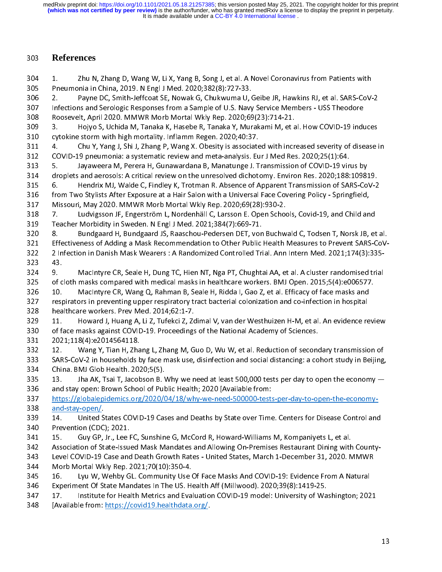It is made available under a CC-BY 4.0 International license. **(which was not certified by peer review)** is the author/funder, who has granted medRxiv a license to display the preprint in perpetuity. medRxiv preprint doi: [https://doi.org/10.1101/2021.05.18.21257385;](https://doi.org/10.1101/2021.05.18.21257385) this version posted May 25, 2021. The copyright holder for this preprint

303 **References**<br>
304 1. Zhu N,<br>
305 Pneumonia in<br>
306 2. Payne<br>
307 Infections and<br>
308 Roosevelt, Apr<br>
309 3. Hojyo<br>
310 cytokine storm<br>
311 4. Chu Y. Preumonia in China, 2019. N Engl J Med. 2020;382(8):727-33.<br>
2. Payne DC, Smith-Jeffcoat SE, Nowak G, Chukwuma U, Geibe JR, Hawkins RJ, et al. SARS-CoV-<br>
Infections and Serologic Responses from a Sample of U.S. Navy Servic 2. Payne DC, Smith-Jeffcoat SE, Nowak G, Chukwuma U, (<br>
1307 Infections and Serologic Responses from a Sample of U.S. Navy<br>
1308 Roosevelt, April 2020. MMWR Morb Mortal Wkly Rep. 2020;69<br>
3. Hojyo S, Uchida M, Tanaka K, Ha Infections and Serologic Responses from a Sample of U.S. Navy Service Members - USS Theodore<br>
Roosevelt, April 2020. MMWR Morb Mortal Wkly Rep. 2020;69(23):714-21.<br>
3. Hojyo S, Uchida M, Tanaka K, Hasebe R, Tanaka Y, Murak Roosevelt, April 2020. MMWR Morb Mortal Wkly Rep. 2020;69(23):714-21.<br>
309 3. Hojyo S, Uchida M, Tanaka K, Hasebe R, Tanaka Y, Murakami M, et al. How COVID-19 indi<br>
cytokine storm with high mortality. Inflamm Regen. 2020;4 309 3. Hojyo S, Uchida M, Tanaka K, Hasebe R, Tanaka Y, Murakami M, et a<br>310 cytokine storm with high mortality. Inflamm Regen. 2020;40:37.<br>311 4. Chu Y, Yang J, Shi J, Zhang P, Wang X. Obesity is associated with incr<br>312 cytokine storm with high mortality. Inflamm Regen. 2020;40:37.<br>
310 cytokine storm with high mortality. Inflamm Regen. 2020;40:37.<br>
311 4. Chu Y, Yang J, Shi J, Zhang P, Wang X. Obesity is associated with increased severit 311 4. Chu Y, Yang J, Shi J, Zhang P, Wang X. Obesity is associate<br>312 COVID-19 pneumonia: a systematic review and meta-analysis. Eu<br>313 5. Jayaweera M, Perera H, Gunawardana B, Manatunge J. T<br>314 droplets and aerosols: A COVID-19 pneumonia: a systematic review and meta-analysis. Eur J Med Res. 2020;25(1):64.<br>
313 5. Jayaweera M, Perera H, Gunawardana B, Manatunge J. Transmission of COVID-19 virus by<br>
314 droplets and aerosols: A critical r 313 5. Jayaweera M, Perera H, Gunawardana B, Manatunge J. Transmission of COVID-19 vir<br>314 droplets and aerosols: A critical review on the unresolved dichotomy. Environ Res. 2020;188:<br>315 6. Hendrix MJ, Walde C, Findley K, 314 droplets and aerosols: A critical review on the unresolved dichotomy. Environ Res. 2020;188:1098<br>
315 6. Hendrix MJ, Walde C, Findley K, Trotman R. Absence of Apparent Transmission of SARS-Co<br>
316 from Two Stylists Aft 315 6. Hendrix MJ, Walde C, Findley K, Trotman R. Absence of Apparent Transmission of SARS-CoV-2<br>316 from Two Stylists After Exposure at a Hair Salon with a Universal Face Covering Policy - Springfield,<br>317 Missouri, May 2 316 from Two Stylists After Exposure at a Hair Salon with a Universal Face Covering Policy - Springfield,<br>317 Missouri, May 2020. MMWR Morb Mortal Wkly Rep. 2020;69(28):930-2.<br>318 7. Ludvigsson JF, Engerström L, Nordenhäll Missouri, May 2020. MMWR Morb Mortal Wkly Rep. 2020;69(28):930-2.<br>
318 7. Ludvigsson JF, Engerström L, Nordenhäll C, Larsson E. Open Schools, Covid-19, and Child an<br>
319 Teacher Morbidity in Sweden. N Engl J Med. 2021;384( 7. Ludvigsson JF, Engerström L, Nordenhäll C, Larsson E. Open Schoo<br>
319 Teacher Morbidity in Sweden. N Engl J Med. 2021;384(7):669-71.<br>
320 8. Bundgaard H, Bundgaard JS, Raaschou-Pedersen DET, von Buchw<br>
321 Effectiveness Teacher Morbidity in Sweden. N Engl J Med. 2021;384(7):669-71.<br>
320 8. Bundgaard H, Bundgaard JS, Raaschou-Pedersen DET, von Buchwald C, Todsen T, Norsk JB, et<br>
521 Effectiveness of Adding a Mask Recommendation to Other Pu 320 8. Bundgaard H, Bundgaard JS, Raaschou-Pedersen DET, von<br>321 Effectiveness of Adding a Mask Recommendation to Other Public<br>322 Infection in Danish Mask Wearers : A Randomized Controlled Tr<br>323 43. MacIntyre CR, Seale H Effectiveness of Adding a Mask Recommendation to Other Public Health Measures to Prevent SARS-CoV-<br>
2 Infection in Danish Mask Wearers : A Randomized Controlled Trial. Ann Intern Med. 2021;174(3):335-<br>
323 9. MacIntyre CR, 330 of face masks against COVID-19. Proceedings of the National Academy of Sciences. 43.<br>
324 9. MacIntyre CR, Seale H, Dung TC, Hien NT, Nga PT, Chughtai AA, et al. A cluster randomised trial<br>
325 of cloth masks compared with medical masks in healthcare workers. BMJ Open. 2015;5(4):e006577.<br>
326 10. MacIn 324 9<br>325 of c<br>325 of 10.<br>327 resp<br>328 hea<br>329 11.<br>330 of f;<br>331 202<br>332 12. 325 of cloth masks compared with medical masks in healthcare workers. BMJ Open. 2015;5(4):e006577.<br>
326 of cloth masks compared with medical masks in healthcare workers. BMJ Open. 2015;5(4):e006577.<br>
326 10. MacIntyre CR, 326 10. MacIntyre CR, Wang Q, Rahman B, Seale H, Ridda I, Gao Z, et al. Efficacy of face masks and<br>327 respirators in preventing upper respiratory tract bacterial colonization and co-infection in hospital<br>328 healthcare wo respirators in preventing upper respiratory tract bacterial colonization and co-infection in hospital<br>
328 healthcare workers. Prev Med. 2014;62:1-7.<br>
329 11. Howard J, Huang A, Li Z, Tufekci Z, Zdimal V, van der Westhuize 328 healthcare workers. Prev Med. 2014;62:1-7.<br>329 11. Howard J, Huang A, Li Z, Tufekci Z, Zdimal V, van der Westhuizen H-M, et al. An evidence re<br>330 of face masks against COVID-19. Proceedings of the National Academy of 329 11. Howard J, Huang A, Li Z, Tufekci Z, Zc<br>330 of face masks against COVID-19. Proceedings<br>331 2021;118(4):e2014564118.<br>332 12. Wang Y, Tian H, Zhang L, Zhang M, G<br>533 SARS-CoV-2 in households by face mask use,<br>734 Chi of face masks against COVID-19. Proceedings of the National Academy of Sciences.<br>
330 of face masks against COVID-19. Proceedings of the National Academy of Sciences.<br>
331 2021;118(4):e2014564118.<br>
332 12. Wang Y, Tian H, 2021;118(4):e2014564118.<br>
331 2021;118(4):e2014564118.<br>
332 12. Wang Y, Tian H, Zhang L, Zhang M, Guo D, Wu W, et al. Reduction of second<br>
5ARS-CoV-2 in households by face mask use, disinfection and social distancing: a co 332 12. Wang Y, Tian H, Zha<br>333 SARS-CoV-2 in households b<br>334 China. BMJ Glob Health. 202<br>335 13. Jha AK, Tsai T, Jacob<br>336 and stay open: Brown Schoo<br>337 <u>https://globalepidemics.org</u><br>338 <u>and-stay-open/</u>.<br>339 14. United SARS-CoV-2 in households by face mask use, disinfection and social distancing: a cohort study in Beijing,<br>
2334 China. BMJ Glob Health. 2020;5(5).<br>
235 13. Jha AK, Tsai T, Jacobson B. Why we need at least 500,000 tests per China. BMJ Glob Health. 2020;5(5).<br>
334 China. BMJ Glob Health. 2020;5(5).<br>
335 13. Jha AK, Tsai T, Jacobson B. Why we need at least 500,000 tests per day to open the economy —<br>
336 and stay open: Brown School of Public He 335 13. Jha AK, Tsai T, Jacobson B. \<br>336 and stay open: Brown School of Puk<br>337 https://globalepidemics.org/2020/0<br>338 <u>and-stay-open/</u>.<br>339 14. United States COVID-19 Cas<br>340 Prevention (CDC); 2021.<br>341 15. Guy GP, Jr., and stay open: Brown School of Public Health; 2020 [Available from:<br>
1336 and stay open: Brown School of Public Health; 2020 [Available from:<br>
1337 https://globalepidemics.org/2020/04/18/why-we-need-500000-tests-per-day-to https://globalepidemics.org/2020/04/18/why-we-need-500000-test:<br>
338 and-stay-open/.<br>
339 14. United States COVID-19 Cases and Deaths by State over Time<br>
340 Prevention (CDC); 2021.<br>
341 15. Guy GP, Jr., Lee FC, Sunshine G 346 Experiment Of State Mandates In The US. Health Aff (Millwood). 2020;39(8):1419-25. 339 14. United S<br>
339 14. United S<br>
340 Prevention (CDC<br>
341 15. Guy GP,<br>
342 Association of St<br>
343 Level COVID-19 (<br>
344 Morb Mortal Wk<br>
345 16. Lyu W, V<br>
346 Experiment Of St<br>
347 17. Institute Prevention (CDC); 2021.<br>
340 Prevention (CDC); 2021.<br>
341 15. Guy GP, Jr., Lee FC, Sunshine G, McCord R, Howard-Williams M, Kompaniyets L, et al.<br>
432 Association of State-Issued Mask Mandates and Allowing On-Premises Rest 341 15. Guy GP, Jr., Lee F<br>342 Association of State-Issue<br>343 Level COVID-19 Case and<br>344 Morb Mortal Wkly Rep. 2<br>345 16. Lyu W, Wehby G<br>346 Experiment Of State Mar<br>347 17. Institute for Hea<br>348 [Available from: https:// Association of State-Issued Mask Mandates and Allowing On-Premises Restaurant Dining with<br>
15. Level COVID-19 Case and Death Growth Rates - United States, March 1-December 31, 2020. N<br>
15. Morb Mortal Wkly Rep. 2021;70(10) 344 Morb Mortal Wkly Rep. 2021;70(10):350-4.<br>345 Ib. Lyu W, Wehby GL. Community Use Of Face Masks And COVID-19: Evidence From A Natural<br>5346 Experiment Of State Mandates In The US. Health Aff (Millwood). 2020;39(8):1419-25 345 16. Lyu W, Wehby GL. Community Use (Experiment Of State Mandates In The US. Horse 1347 17. Institute for Health Metrics and Eva [Available from: https://covid19.healthdata. Experiment Of State Mandates In The US. Health Aff (Millwood). 2020;39(8):1419-25.<br>346 Experiment Of State Mandates In The US. Health Aff (Millwood). 2020;39(8):1419-25.<br>347 17. Institute for Health Metrics and Evaluation 347 17. Institute for Health Metrics and Evaluation COVID-19 model: University of Wa<br>
348 [Available from: <u>https://covid19.healthdata.org/</u>.<br>
348 **[Available from: https://covid19.healthdata.org/**. 348 [Available from: https://covid19.healthdata.org/.<br>
Evaluation Covid-19 model: University of Washington; 2021<br>
2021<br>
2021<br>
2021<br>
2021 348 [Available from: https://covid19.healthdata.org/.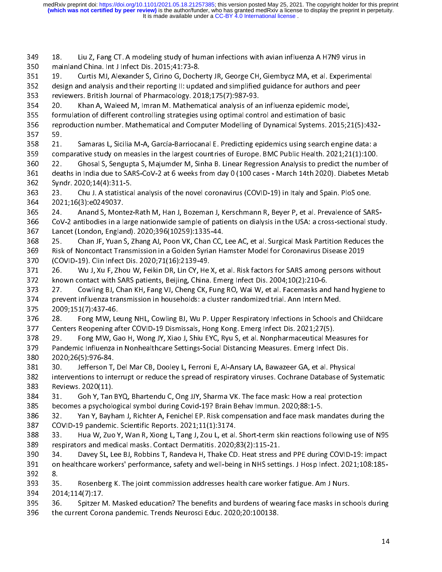It is made available under a CC-BY 4.0 International license. **(which was not certified by peer review)** is the author/funder, who has granted medRxiv a license to display the preprint in perpetuity. medRxiv preprint doi: [https://doi.org/10.1101/2021.05.18.21257385;](https://doi.org/10.1101/2021.05.18.21257385) this version posted May 25, 2021. The copyright holder for this preprint

mainland China. Int J Infect Dis. 2015;41:73-8.<br>
351 19. Curtis MJ, Alexander S, Cirino G, Docherty JR, George CH, Giembycz MA, et al. Experiment.<br>
352 design and analysis and their reporting II: updated and simplified gui 351 19. Curtis MJ, Alexander S, Cirino G, Doche<br>352 design and analysis and their reporting II: upda<br>353 reviewers. British Journal of Pharmacology. 20<br>354 20. Khan A, Waleed M, Imran M. Mathema<br>355 formulation of differen design and analysis and their reporting II: updated and simplified guidance for authors and peer<br>
streviewers. British Journal of Pharmacology. 2018;175(7):987-93.<br>
20. Khan A, Waleed M, Imran M. Mathematical analysis of a reviewers. British Journal of Pharmacology. 2018;175(7):987-93.<br>
20. Khan A, Waleed M, Imran M. Mathematical analysis of an influenza epidemic model,<br>
formulation of different controlling strategies using optimal control a 20. Khan A, Waleed M, Imran M. Mathematical analysis of a<br>353 formulation of different controlling strategies using optimal cont<br>356 formulation of different controlling strategies using optimal cont<br>357 59.<br>21. Samaras L, 354 20. Khan A, Waleed M, Imran M. Mathematical analysis of an influenza epidemic model, reproduction number. Mathematical and Computer Modelling of Dynamical Systems. 2015;<br>357 59.<br>21. Samaras L, Sicilia M-A, García-Barriocanal E. Predicting epidemics using search engir<br>25. Comparative study on measles in the 59.<br>
357 59.<br>
358 21. Samaras L, Sicilia M-A, García-Barriocanal E. Predicting epidemics using search engine data: a<br>
359 comparative study on measles in the largest countries of Europe. BMC Public Health. 2021;21(1):100.<br> 358 21.<br>359 com<br>360 22.<br>361 dea<br>362 Syn<br>363 23.<br>364 202<br>365 24. comparative study on measles in the largest countries of Europe. BMC Public Health. 2021;21(1):100.<br>
22. Ghosal S, Sengupta S, Majumder M, Sinha B. Linear Regression Analysis to predict the number<br>
deaths in India due to S 22. Ghosal S, Sengupta S, Majumder M, Sinha B. Linear Regression Analysis to predict the number<br>
360 22. Ghosal S, Sengupta S, Majumder M, Sinha B. Linear Regression Analysis to predict the number<br>
361 deaths in India due deaths in India due to SARS-CoV-2 at 6 weeks from day 0 (100 cases - March 14th 2020). Diabetes Metab<br>
Syndr. 2020;14(4):311-5.<br>
23. Chu J. A statistical analysis of the novel coronavirus (COVID-19) in Italy and Spain. Plo Solary Syndr. 2020;14(4):311-5.<br>
23. Chu J. A statistical analysis of the novel coronavirus (COVID-19) in Italy and Spain. PloS one.<br>
2021;16(3):e0249037.<br>
24. Anand S, Montez-Rath M, Han J, Bozeman J, Kerschmann R, Beyer 363 23. Chu J. A statistica<br>364 2021;16(3):e0249037.<br>365 24. Anand S, Montez<br>366 CoV-2 antibodies in a larg<br>367 Lancet (London, England)<br>368 25. Chan JF, Yuan S, 2<br>369 Risk of Noncontact Transı<br>370 (COVID-19). Clin Infect 2021;16(3):e0249037.<br>
24. Anand S, Montez-Rath M, Han J, Bozeman J, Kerschmann R, Beyer P, et al. Prevalence of SAI<br>
26. CoV-2 antibodies in a large nationwide sample of patients on dialysis in the USA: a cross-sectional s 365 24. Anand S, Mont<br>366 CoV-2 antibodies in a la<br>367 Lancet (London, Englan<br>368 25. Chan JF, Yuan 9<br>369 Risk of Noncontact Tra<br>370 (COVID-19). Clin Infect<br>371 26. Wu J, Xu F, Zho<br>372 known contact with SA<br>373 27. Cowling 374 prevent influenza transmission in households: a cluster randomized trial. Ann Intern Med. 367 Lancet (London, England). 2020;396(10259):1335-44.<br>368 25. Chan JF, Yuan S, Zhang AJ, Poon VK, Chan CC, Lee AC, et al. Surgical Mask Partition Reduces the<br>369 Risk of Noncontact Transmission in a Golden Syrian Hamster 25. Chan JF, Yuan S, Zhang AJ, Poon VK, Chan CC,<br>
369 Risk of Noncontact Transmission in a Golden Syrian Ha<br>
370 (COVID-19). Clin Infect Dis. 2020;71(16):2139-49.<br>
371 26. Wu J, Xu F, Zhou W, Feikin DR, Lin CY, He X, et<br>
3 Risk of Noncontact Transmission in a Golden Syrian Hamster Model for Coronavirus Disease 2019<br>
370 (COVID-19). Clin Infect Dis. 2020;71(16):2139-49.<br>
26. Wu J, Xu F, Zhou W, Feikin DR, Lin CY, He X, et al. Risk factors for (COVID-19). Clin Infect Dis. 2020;71(16):2139-49.<br>
371 CoVID-19). Clin Infect Dis. 2020;71(16):2139-49.<br>
371 26. Wu J, Xu F, Zhou W, Feikin DR, Lin CY, He X, et al. Risk factors for SARS among persons wit<br>
372 known contac 371 26. Wu J, Xu F, Zhou W, Feikin DR, Lin CY, He<br>372 known contact with SARS patients, Beijing, China.<br>373 27. Cowling BJ, Chan KH, Fang VJ, Cheng CK, F<br>374 prevent influenza transmission in households: a c<br>375 2009;151(7 372 known contact with SARS patients, Beijing, China. Emerg Infect Dis. 2004;10(2):210-6.<br>
373 27. Cowling BJ, Chan KH, Fang VJ, Cheng CK, Fung RO, Wai W, et al. Facemasks and hand hygiene to<br>
374 prevent influenza transmi 373 27. Cowling BJ, Chan KH, Fang VJ, Cheng CK, Fung RO, Wai W, et al. Facemasks and<br>374 prevent influenza transmission in households: a cluster randomized trial. Ann Intern M<br>375 2009;151(7):437-46.<br>376 28. Fong MW, Leung prevent influenza transmission in households: a cluster randomized trial. Ann Intern Med.<br>
2009;151(7):437-46.<br>
28. Fong MW, Leung NHL, Cowling BJ, Wu P. Upper Respiratory Infections in Schools and Childcare<br>
28. Fong MW, 2009;151(7):437-46.<br>
375 2009;151(7):437-46.<br>
376 28. Fong MW, Leung NHL, Cowling BJ, Wu P. Upper Respiratory Infections in Schools a<br>
377 Centers Reopening after COVID-19 Dismissals, Hong Kong. Emerg Infect Dis. 2021;27(5 376 28. Fong MW, Le<br>
377 Centers Reopening at<br>
378 29. Fong MW, Ga<br>
379 Pandemic Influenza in<br>
380 2020;26(5):976-84.<br>
381 30. Jefferson T, E<br>
interventions to inter<br>
383 Reviews. 2020(11).<br>
384 31. Goh Y, Tan B' Conters Reopening after COVID-19 Dismissals, Hong Kong. Emerg Infect Dis. 2021;27(5).<br>
378 29. Fong MW, Gao H, Wong JY, Xiao J, Shiu EYC, Ryu S, et al. Nonpharmaceutical Measures for<br>
379 Pandemic Influenza in Nonhealthcar 378 29. Fong MW, Gao H, Wong JY, Xiao J, Shiu EYC, Ryu S, et al. Nonpharmaceutical Me<br>379 Pandemic Influenza in Nonhealthcare Settings-Social Distancing Measures. Emerg Infect<br>380 2020;26(5):976-84.<br>381 30. Jefferson T, De 979 Pandemic Influenza in Nonhealthcare Settings-Social Distancing Measures. Emerg Infect Dis.<br>
2020;26(5):976-84.<br>
381 30. Jefferson T, Del Mar CB, Dooley L, Ferroni E, Al-Ansary LA, Bawazeer GA, et al. Physical<br>
interven 2020;26(5):976-84.<br>
381 30. Jefferson T, Del Mar CB, Dooley L, Ferroni E, Al-Ansary LA, Bawazeer GA, et al. Physic<br>
382 interventions to interrupt or reduce the spread of respiratory viruses. Cochrane Database of<br>
383 Revi 381 30. Jefferson T,<br>382 interventions to inte<br>383 Reviews. 2020(11).<br>384 31. Goh Y, Tan I<br>385 becomes a psycholo<br>386 32. Yan Y, Bayh.<br>387 COVID-19 pandemic<br>388 33. Hua W, Zuo<br>389 respirators and mec 382 interventions to interrupt or reduce the spread of respiratory viruses. Cochrane Database of Sy<br>383 Reviews. 2020(11).<br>384 31. Goh Y, Tan BYQ, Bhartendu C, Ong JJY, Sharma VK. The face mask: How a real protectio<br>385 be 383 Reviews. 2020(11).<br>
384 Sheviews. 2020(11).<br>
384 Sheviews. 2020(11).<br>
385 Beocmes a psychological symbol during Covid-19? Brain Behav Immun. 2020;88:1-5.<br>
32. Yan Y, Bayham J, Richter A, Fenichel EP. Risk compensation 384 31. Goh Y, Tan<br>385 becomes a psycholo<br>386 32. Yan Y, Bayh<br>387 COVID-19 pandemid<br>388 33. Hua W, Zuo<br>390 34. Davey SL, Lon healthcare work<br>391 on healthcare work<br>392 8. becomes a psychological symbol during Covid-19? Brain Behav Immun. 2020;88:1-5.<br>
32. Yan Y, Bayham J, Richter A, Fenichel EP. Risk compensation and face mask mandates duri<br>
23. COVID-19 pandemic. Scientific Reports. 2021;1 386 32. Yan Y, Bayham J, Richter A, Fenichel EP. Risk compensation and face mask m:<br>387 COVID-19 pandemic. Scientific Reports. 2021;11(1):3174.<br>388 33. Hua W, Zuo Y, Wan R, Xiong L, Tang J, Zou L, et al. Short-term skin re 387 COVID-19 pandemic. Scientific Reports. 2021;11(1):3174.<br>
388 33. Hua W, Zuo Y, Wan R, Xiong L, Tang J, Zou L, et al. Short-term skin reactions following use of N9!<br>
389 respirators and medical masks. Contact Dermatitis 388 33. Hua W, Zuo Y, Wan R, Xiong L, Tang J, Zou L, et al.<br>389 espirators and medical masks. Contact Dermatitis. 2020;<br>390 34. Davey SL, Lee BJ, Robbins T, Randeva H, Thake CD<br>391 on healthcare workers' performance, safet The Sample of the Sample of the Sample of the Sample of the Sample of the Sample of the Sample of the Sample of the Sample on healthcare workers' performance, safety and well-being in NHS settings. J Hosp Infect. 2021;108: 390 34. Davey SL, Lee BJ, Robbins T, Randeva H, Thake CD. Heat stress and medithcare workers' performance, safety and well-being in NHS setti<br>
392 8. Rosenberg K. The joint commission addresses health care work<br>
304 2014;1 391 on healthcare workers' performance, safety and well-being in NHS settings. J Hosp Infect. 2021;108:185-<br>392 3. Rosenberg K. The joint commission addresses health care worker fatigue. Am J Nurs.<br>394 2014;114(7):17.<br>36. on healthcare workers' performance, safety and well-being in NHS settings. J Hosp Infect. 2021;108:185-<br>392 8.<br>393 35. Rosenberg K. The joint commission addresses health care worker fatigue. Am J Nurs.<br>2014;114(7):17.<br>395 392 8. 394 2014;114(7):17.<br>395 36. Spitzer M. Masked education? The benefits and burdens of wearing face masks in sch<br>396 the current Corona pandemic. Trends Neurosci Educ. 2020;20:100138. 395 36. Spitzer N<br>396 the current Coro 396 the current Corona pandemic. Trends Neurosci Educ. 2020;20:100138.<br>14<br>14 396 the current Corona pandemic. Trends Neurosci Educ. 2020;20:100138.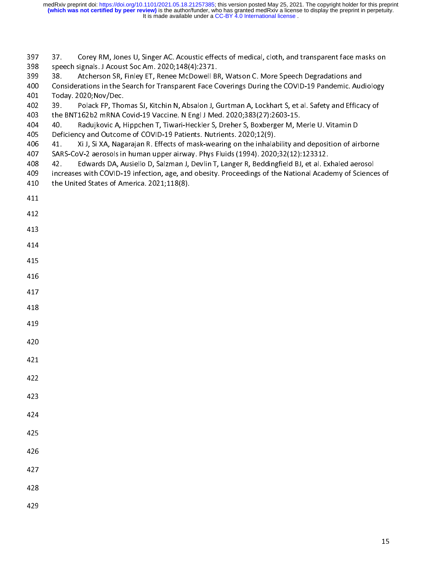398 speech signals. J Acoust Soc Am. 2020;148(4):2371.<br>399 speech signals. J Acoust Soc Am. 2020;148(4):2371.<br>399 38. Atcherson SR, Finley ET, Renee McDowell BR, Watson C. More Speech Degradations and<br>390 Considerations in 399 38. Atcherson SR, Finley ET, Renee McDowell BI<br>400 Considerations in the Search for Transparent Face C<br>401 Today. 2020;Nov/Dec.<br>402 39. Polack FP, Thomas SJ, Kitchin N, Absalon J, G<br>403 the BNT162b2 mRNA Covid-19 Vacci Considerations in the Search for Transparent Face Coverings During the COVID-19 Pandemic. Aucherson Stage 2020;Nov/Dec.<br>
39. Polack FP, Thomas SJ, Kitchin N, Absalon J, Gurtman A, Lockhart S, et al. Safety and Effica<br>
402 Today. 2020;Nov/Dec.<br>
402 39. Polack FP, Thomas SJ, Kitchin N, Absalon J, Gurtman A, Lockhart S, et al. Safety and Efficacy of<br>
403 the BNT162b2 mRNA Covid-19 Vaccine. N Engl J Med. 2020;383(27):2603-15.<br>
404 40. Radujkovi 402 39. Polack FP, Thom<br>403 the BNT162b2 mRNA C<br>404 40. Radujkovic A, H<br>405 Deficiency and Outcom<br>406 41. Xi J, Si XA, Naga<br>407 SARS-CoV-2 aerosols in<br>408 42. Edwards DA, A<br>409 increases with COVID-1<br>410 the United States the BNT162b2 mRNA Covid-19 Vaccine. N Engl J Med. 2020;383(27):2603-15.<br>
404 40. Radujkovic A, Hippchen T, Tiwari-Heckler S, Dreher S, Boxberger M, Merle U. Vitamin D<br>
2015 Deficiency and Outcome of COVID-19 Patients. Nutr 404 40. Radujkovic A, Hippchen T, Tiwari-Heckler S, Dreher S, Boxberger M, M<br>405 Deficiency and Outcome of COVID-19 Patients. Nutrients. 2020;12(9).<br>406 41. Xi J, Si XA, Nagarajan R. Effects of mask-wearing on the inhalabi Deficiency and Outcome of COVID-19 Patients. Nutrients. 2020;12(9).<br>
406 41. Xi J, Si XA, Nagarajan R. Effects of mask-wearing on the inhalability and deposition of air<br>
407 SARS-CoV-2 aerosols in human upper airway. Phys 406 41. Xi J, Si XA, Nagarajan R. Effects of mask-wearing on the inhalat<br>
407 SARS-CoV-2 aerosols in human upper airway. Phys Fluids (1994). 2020<br>
408 42. Edwards DA, Ausiello D, Salzman J, Devlin T, Langer R, Bedding<br>
inc 407 SARS-CoV-2 aerosols in human upper airway. Phys Fluids (1994). 2020;32(12):123312.<br>408 42. Edwards DA, Ausiello D, Salzman J, Devlin T, Langer R, Beddingfield BJ, et al. Exhaled aerosol<br>409 increases with COVID-19 infe 408 42. Edwards DA, Ausiello D, Salzman J, Devlin T, Langer R, Beddingfield BJ, et al. Ex<br>
409 increases with COVID-19 infection, age, and obesity. Proceedings of the National Acade<br>
410 the United States of America. 2021; 409 increases with COVID-19 infection, age, and obesity. Proceedings of the National Academy of Science<br>the United States of America. 2021;118(8).<br>411<br>412 410 the United States of America. 2021;118(8).<br>411<br>412<br>413<br>414 411<br>412<br>413<br>414<br>415 412<br>413<br>414<br>415<br>416 ---<br>413<br>414<br>415<br>416<br>417 414<br>415<br>416<br>417<br>418 415<br>416<br>417<br>418<br>419 416<br>417<br>418<br>419<br>420 417<br>418<br>418<br>420<br>421 417 418<br>418<br>420<br>421<br>422 418 419<br>420<br>421<br>422<br>423 419 420<br>421<br>422<br>423 420  $421$ <br> $422$ <br> $423$ <br> $424$ 421  $422$ <br> $423$ <br> $424$ <br> $425$ 422 423<br>424<br>425<br>426 423  $424$ <br> $425$ <br> $426$ <br> $427$ 424 425<br>426<br>427<br>428 425 426<br>427<br>428<br>429 426 427<br>428<br>429 427 428<br>429 428 428 429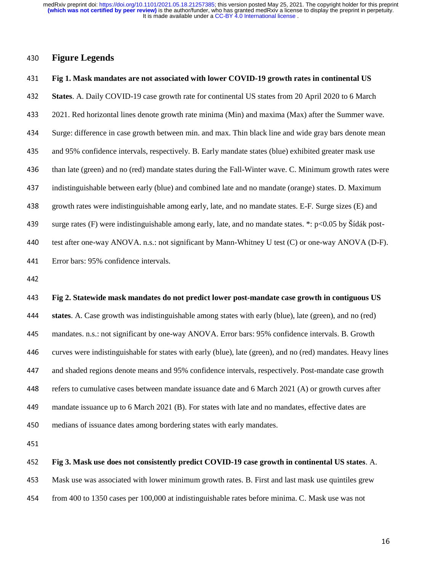430 **Figure Legends**<br>431 **Fig 1. Mask manda**<br>432 **States**. A. Daily CO<br>433 2021. Red horizonta<br>434 Surge: difference in Fig 1. Mask mandates are not associated with lower COVID-19 growth rates in continental US<br>
States. A. Daily COVID-19 case growth rate for continental US states from 20 April 2020 to 6 Marc<br>
2021. Red horizontal lines deno **States**. A. Daily COVID-19 case growth rate for continental US states from 20 April 2020 to 6 March 2021. Red horizontal lines denote growth rate minima (Min) and maxima (Max) after the Summer wav Surge: difference in cas

2021. Red horizontal lines denote growth rate minima (Min) and maxima (Max) after the Summer wave.<br>
434 Surge: difference in case growth between min. and max. Thin black line and wide gray bars denote mean<br>
435 and 95% con 434 Surge: difference in case growth between min. and max. Thin black line and wide gray bars denote mean and 95% confidence intervals, respectively. B. Early mandate states (blue) exhibited greater mask use than late (gr and 95% confidence intervals, respectively. B. Early mandate states (blue) exhibited greater mask use<br>than late (green) and no (red) mandate states during the Fall-Winter wave. C. Minimum growth rates v<br>indistinguishable than late (green) and no (red) mandate states during the Fall-Winter wave. C. Minimum growth rates were indistinguishable between early (blue) and combined late and no mandate (orange) states. D. Maximum growth rates were indistinguishable between early (blue) and combined late and no mandate (orange) states. D. Maximum<br>growth rates were indistinguishable among early, late, and no mandate states. E-F. Surge sizes (E) and<br>surge rates (F) wer

growth rates were indistinguishable among early, late, and no mandate states. E-F. Surge sizes (E) and<br>
439 surge rates (F) were indistinguishable among early, late, and no mandate states. \*: p<0.05 by Šídák pos<br>
440 test surge rates (F) were indistinguishable among early, late, and no mandate states. \*: p<0.05 by Sídák post-<br>test after one-way ANOVA. n.s.: not significant by Mann-Whitney U test (C) or one-way ANOVA (D-F)<br>Error bars: 95% co

test after one-way ANOVA. n.s.: not significant by Mann-Whitney U test (C) or one-way ANOVA (D-F).<br>
441 Error bars: 95% confidence intervals.<br>
442 Fig 2. Statewide mask mandates do not predict lower post-mandate case growt 441 Error bars: 95% confidence intervals.<br>442 Fig 2. Statewide mask mandates do<br>444 states. A. Case growth was indistingu<br>445 mandates. n.s.: not significant by one-443<br>444<br>445<br>446 Fig 2. Statewide mask mandates do not predict lower post-mandate case growth in contiguous US<br>states. A. Case growth was indistinguishable among states with early (blue), late (green), and no (red)<br>mandates. n.s.: not sign **states**. A. Case growth was indistinguishable among states with early (blue), late (green), and no (red) mandates. n.s.: not significant by one-way ANOVA. Error bars: 95% confidence intervals. B. Growth curves were indist mandates. n.s.: not significant by one-way ANOVA. Error bars: 95% confidence intervals. B. Growth<br>curves were indistinguishable for states with early (blue), late (green), and no (red) mandates. Heavy li<br>and shaded regions curves were indistinguishable for states with early (blue), late (green), and no (red) mandates. Heavy lines<br>and shaded regions denote means and 95% confidence intervals, respectively. Post-mandate case growth<br>refers to cu and shaded regions denote means and 95% confidence intervals, respectively. Post-mandate case growth<br>refers to cumulative cases between mandate issuance date and 6 March 2021 (A) or growth curves after<br>mandate issuance up refers to cumulative cases between mandate issuance date and 6 March 2021 (A) or growth curves after<br>mandate issuance up to 6 March 2021 (B). For states with late and no mandates, effective dates are<br>medians of issuance da mandate issuance up to 6 March 2021 (B). For states with late and no mandates, effective dates are<br>
medians of issuance dates among bordering states with early mandates.<br> **451**<br> **452** Fig 3. Mask use does not consistently

## medians of issuance dates among bordering states with early mandates.<br>451 Fig 3. Mask use does not consistently predict COVID-19 case growt<br>453 Mask use was associated with lower minimum growth rates. B. First and<br>454 from 452<br>453<br>454 Fig 3. Mask use does not consistently predict COVID-19 case growth in continental US states. A.<br>
Mask use was associated with lower minimum growth rates. B. First and last mask use quintiles grew<br>
from 400 to 1350 cases pe

453 Mask use was associated with lower minimum growth rates. B. First and last mask use quintiles grew<br>154 from 400 to 1350 cases per 100,000 at indistinguishable rates before minima. C. Mask use was not<br>154 from 400 to 13

454 from 400 to 1350 cases per 100,000 at indistinguishable rates before minima. C. Mask use was not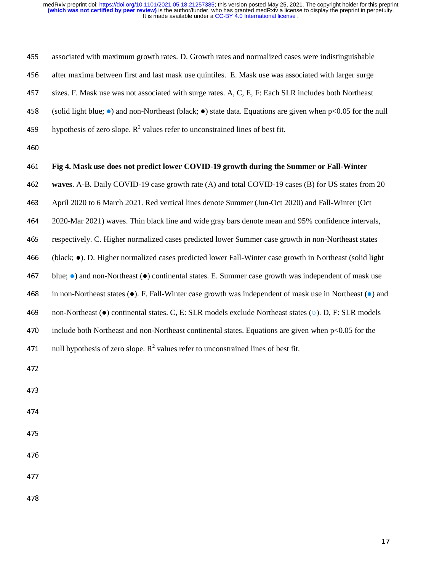| 455 | associated with maximum growth rates. D. Growth rates and normalized cases were indistinguishable                             |
|-----|-------------------------------------------------------------------------------------------------------------------------------|
| 456 | after maxima between first and last mask use quintiles. E. Mask use was associated with larger surge                          |
| 457 | sizes. F. Mask use was not associated with surge rates. A, C, E, F: Each SLR includes both Northeast                          |
| 458 | (solid light blue; $\bullet$ ) and non-Northeast (black; $\bullet$ ) state data. Equations are given when p<0.05 for the null |
| 459 | hypothesis of zero slope. $R^2$ values refer to unconstrained lines of best fit.                                              |
| 460 |                                                                                                                               |
| 461 | Fig 4. Mask use does not predict lower COVID-19 growth during the Summer or Fall-Winter                                       |
| 462 | waves. A-B. Daily COVID-19 case growth rate (A) and total COVID-19 cases (B) for US states from 20                            |
| 463 | April 2020 to 6 March 2021. Red vertical lines denote Summer (Jun-Oct 2020) and Fall-Winter (Oct                              |
| 464 | 2020-Mar 2021) waves. Thin black line and wide gray bars denote mean and 95% confidence intervals,                            |
| 465 | respectively. C. Higher normalized cases predicted lower Summer case growth in non-Northeast states                           |
| 466 | (black; •). D. Higher normalized cases predicted lower Fall-Winter case growth in Northeast (solid light                      |
| 467 | blue; $\bullet$ ) and non-Northeast ( $\bullet$ ) continental states. E. Summer case growth was independent of mask use       |
| 468 | in non-Northeast states $(\bullet)$ . F. Fall-Winter case growth was independent of mask use in Northeast $(\bullet)$ and     |
| 469 | non-Northeast ( $\bullet$ ) continental states. C, E: SLR models exclude Northeast states ( $\circ$ ). D, F: SLR models       |
| 470 | include both Northeast and non-Northeast continental states. Equations are given when $p<0.05$ for the                        |
| 471 | null hypothesis of zero slope. $R^2$ values refer to unconstrained lines of best fit.                                         |
| 472 |                                                                                                                               |
| 473 |                                                                                                                               |
| 474 |                                                                                                                               |
|     |                                                                                                                               |
| 475 |                                                                                                                               |
| 476 |                                                                                                                               |
| 477 |                                                                                                                               |
| 478 |                                                                                                                               |
|     |                                                                                                                               |
|     | 17                                                                                                                            |
|     |                                                                                                                               |
|     |                                                                                                                               |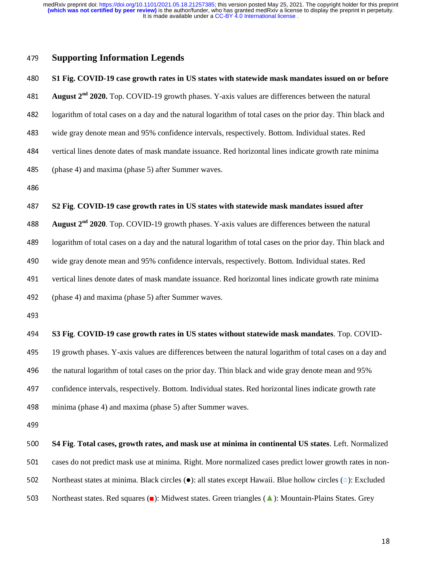### **Supporting Information Legends**<br>**S1 Fig. COVID-19 case growth rates in**<br>**August 2<sup>nd</sup> 2020.** Top. COVID-19 growth<br>**482** logarithm of total cases on a day and the n<br>wide gray denote mean and 95% confidend **S1 Fig. COVID-19 case growth rates in US states with statewide mask mandates issued on or before<br>
August**  $2^{nd}$  **2020. Top. COVID-19 growth phases. Y-axis values are differences between the natural<br>
logarithm of total cas** August 2<sup>nd</sup> 2020. Top. COVID-19 growth phases. Y-axis values are differences between the natural **2020. 2020. 2020. 2020. 2020. 2020. 2020. 2020. 2020. 2020. 2020. 2020. 2020. 2020. 2020. 2020. 2020. 2020. 2020. 2020. 2020. 2020. 2020. 2020. 2020. 2020. 2020. 2020** logarithm of total cases on a day and the natural logarithm of total cases on the prior day. Thin black and<br>wide gray denote mean and 95% confidence intervals, respectively. Bottom. Individual states. Red<br>vertical lines de wide gray denote mean and 95% confidence intervals, respectively. Bottom. Individual states. Red<br>vertical lines denote dates of mask mandate issuance. Red horizontal lines indicate growth rate min<br>(phase 4) and maxima (pha %484 vertical lines denote dates of mask mandate issuance. Red horizontal lines indicate growth rate minima<br>
485 (phase 4) and maxima (phase 5) after Summer waves.<br>
486 S2 Fig. COVID-19 case growth rates in US states with 485 (phase 4) and maxima (phase 5) after Summer waves.<br>486<br>**52 Fig. COVID-19 case growth rates in US states w**<br>**488 August 2<sup>nd</sup> 2020**. Top. COVID-19 growth phases. Y-a<br>logarithm of total cases on a day and the natural

487<br>488<br>489<br>490 52 Fig. COVID-19 case growth rates in US states with statewide mask mandates issued after<br>488 August  $2^{nd}$  2020. Top. COVID-19 growth phases. Y-axis values are differences between the natural<br>489 logarithm of total cases August 2<sup>nd</sup> 2020. Top. COVID-19 growth phases. Y-axis values are differences between the natural **2020**. Top. COVID-19 growth phases. Y-axis values are differences between the natural logarithm of total cases on a day and the natural logarithm of total cases on the prior day. Thin black wide gray denote mean and 95%

logarithm of total cases on a day and the natural logarithm of total cases on the prior day. Thin black and<br>wide gray denote mean and 95% confidence intervals, respectively. Bottom. Individual states. Red<br>vertical lines de

# wide gray denote mean and 95% confidence intervals, respectively. Bottom. Individual states. Red<br>
491 vertical lines denote dates of mask mandate issuance. Red horizontal lines indicate growth rate min<br>
492 (phase 4) and m

vertical lines denote dates of mask mandate issuance. Red horizontal lines indicate growth rate minima<br>
(phase 4) and maxima (phase 5) after Summer waves.<br> **493** S3 Fig. COVID-19 case growth rates in US states without stat (phase 4) and maxima (phase 5) after Summer waves.<br>
493<br>
53 Fig. COVID-19 case growth rates in US states w<br>
495 19 growth phases. Y-axis values are differences betwe<br>
496 the natural logarithm of total cases on the prior d 494<br>495<br>496<br>497 **S3 Fig. COVID-19 case growth rates in US states without statewide mask mandates**. Top. COVID-<br>495 19 growth phases. Y-axis values are differences between the natural logarithm of total cases on a day an<br>496 the natural lo 19 growth phases. Y-axis values are differences between the natural logarithm of total cases on a day and<br>
496 the natural logarithm of total cases on the prior day. Thin black and wide gray denote mean and 95%<br>
confidence the natural logarithm of total cases on the prior day. Thin black and wide gray denote mean and 95%<br>confidence intervals, respectively. Bottom. Individual states. Red horizontal lines indicate growth rate<br>minima (phase 4)

confidence intervals, respectively. Bottom. Individual states. Red horizontal lines indicate growth rate<br>
498 minima (phase 4) and maxima (phase 5) after Summer waves.<br>
499 S4 Fig. Total cases, growth rates, and mask use a minima (phase 4) and maxima (phase 5) after Summer waves.<br>
499<br>
500 **S4 Fig. Total cases, growth rates, and mask use at minima** i<br>
501 cases do not predict mask use at minima. Right. More normaliz<br>
Northeast states at min ---<br>500<br>501<br>502<br>503 **500 S4 Fig. Total cases, growth rates, and mask use at minima in continental US states**. Left. Normalized cases do not predict mask use at minima. Right. More normalized cases predict lower growth rates in non-Northeast s 501 cases do not predict mask use at minima. Right. More normalized cases predict lower growth rates in non-<br>
502 Northeast states at minima. Black circles ( $\bullet$ ): all states except Hawaii. Blue hollow circles ( $\circ$ ): Exc So2 Northeast states at minima. Black circles (●): all states except Hawaii. Blue hollow circles (○): Excluded<br>Northeast states. Red squares (■): Midwest states. Green triangles (▲): Mountain-Plains States. Grey<br>11 503 Northeast states. Red squares (■): Midwest states. Green triangles (▲): Mountain-Plains States. Grey<br>Northeast states. Red squares (■): Midwest states. Green triangles (▲): Mountain-Plains States. Grey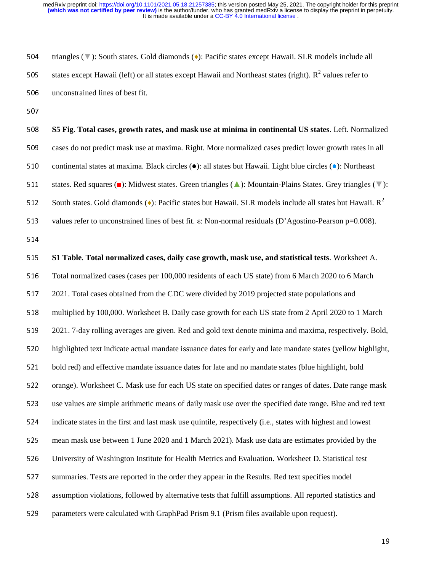triangles ( $\Psi$ ): South states. Gold diamonds ( $\bullet$ ): Pacific states except Hawaii. SLR models include all<br>states except Hawaii (left) or all states except Hawaii and Northeast states (right). R<sup>2</sup> values refer to<br>unconst states except Hawaii (left) or all states except Hawaii and Northeast states (right).  $R^2$  values refer to

states except Hawaii (left) or all states except Hawaii and Northeast states (right).  $R^2$  values refer to<br>506 unconstrained lines of best fit.<br>507 S5 Fig. Total cases, growth rates, and mask use at minima in continental 506 unconstrained lines of best fit.<br>507 **S5 Fig. Total cases, growth random**<br>509 cases do not predict mask use a<br>510 continental states at maxima. B 508<br>509<br>510<br>511<br>511 **S5 Fig. Total cases, growth rates, and mask use at minima in continental US states**. Left. Normalized cases do not predict mask use at maxima. Right. More normalized cases predict lower growth rates in all continental sta cases do not predict mask use at maxima. Right. More normalized cases predict lower growth rates in all<br>510 continental states at maxima. Black circles ( $\bullet$ ): all states but Hawaii. Light blue circles ( $\bullet$ ): Northeast<br>5 510 continental states at maxima. Black circles ( $\bullet$ ): all states but Hawaii. Light blue circles ( $\bullet$ ): Northeast<br>511 states. Red squares ( $\bullet$ ): Midwest states. Green triangles ( $\bullet$ ): Mountain-Plains States. Grey tria 511 states. Red squares (■): Midwest states. Green triangles (▲): Mountain-Plains States. Grey triangles (▼):<br>512 South states. Gold diamonds (◆): Pacific states but Hawaii. SLR models include all states but Hawaii. R<sup>2</sup> South states. Gold diamonds ( $\bullet$ ): Pacific states but Hawaii. SLR models include all states but Hawaii. R<sup>2</sup> ---<br>513<br>514<br>515<br>516<br>517 values refer to unconstrained lines of best fit. ε: Non-normal residuals (D'Agostino-Pearson p=0.008).<br>
514 S1 Table. Total normalized cases, daily case growth, mask use, and statistical tests. Worksheet A.<br>
516 Total nor 515<br>515<br>516<br>517<br>518 **S15 S1 Table. Total normalized cases, daily case growth, mask use, and statistical tests**. Worksheet A.<br>
Total normalized cases (cases per 100,000 residents of each US state) from 6 March 2020 to 6 March<br>
2021. Total case 516 Total normalized cases (cases per 100,000 residents of each US state) from 6 March 2020 to 6 March 2021. Total cases obtained from the CDC were divided by 2019 projected state populations and multiplied by 100,000. Wor 2021. Total cases obtained from the CDC were divided by 2019 projected state populations and<br>518 multiplied by 100,000. Worksheet B. Daily case growth for each US state from 2 April 2020 to 2021. 7-day rolling averages are multiplied by 100,000. Worksheet B. Daily case growth for each US state from 2 April 2020 to 1 March<br>
2021. 7-day rolling averages are given. Red and gold text denote minima and maxima, respectively. Bolc<br>
520 highlighted 2021. 7-day rolling averages are given. Red and gold text denote minima and maxima, respectively. Bold, highlighted text indicate actual mandate issuance dates for early and late mandate states (yellow highlight, bold red) highlighted text indicate actual mandate issuance dates for early and late mandate states (yellow highlight,<br>
bold red) and effective mandate issuance dates for late and no mandate states (blue highlight, bold<br>
orange). Wo

bold red) and effective mandate issuance dates for late and no mandate states (blue highlight, bold<br>
orange). Worksheet C. Mask use for each US state on specified dates or ranges of dates. Date range<br>
use values are simple orange). Worksheet C. Mask use for each US state on specified dates or ranges of dates. Date range mask<br>use values are simple arithmetic means of daily mask use over the specified date range. Blue and red text<br>indicate sta states are simple arithmetic means of daily mask use over the specified date range. Blue and red text<br>
states in the first and last mask use quintile, respectively (i.e., states with highest and lowest<br>
mean mask use betwe

indicate states in the first and last mask use quintile, respectively (i.e., states with highest and lowest<br>mean mask use between 1 June 2020 and 1 March 2021). Mask use data are estimates provided by th<br>University of Wash

mean mask use between 1 June 2020 and 1 March 2021). Mask use data are estimates provided by the<br>526 University of Washington Institute for Health Metrics and Evaluation. Worksheet D. Statistical test<br>527 summaries. Tests University of Washington Institute for Health Metrics and Evaluation. Worksheet D. Statistical test<br>summaries. Tests are reported in the order they appear in the Results. Red text specifies model<br>assumption violations, fol 527 summaries. Tests are reported in the order they appear in the Results. Red text specifies model<br>528 assumption violations, followed by alternative tests that fulfill assumptions. All reported statist<br>529 parameters wer 528 assumption violations, followed by alternative tests that fulfill assumptions. All reported statistics and<br>529 parameters were calculated with GraphPad Prism 9.1 (Prism files available upon request).

529 parameters were calculated with GraphPad Prism 9.1 (Prism files available upon request).

19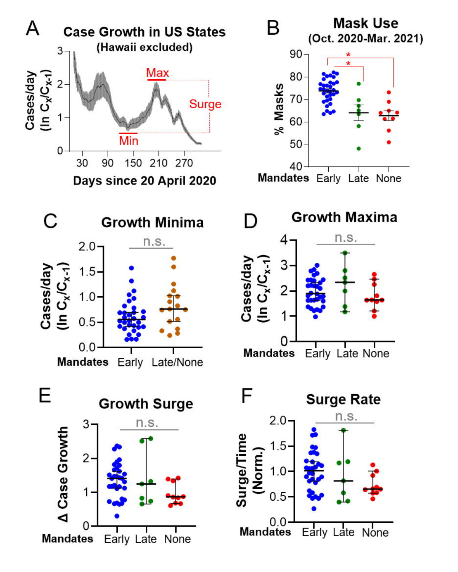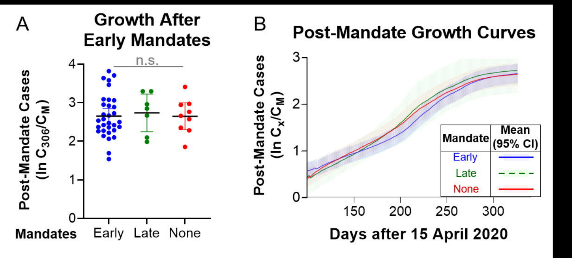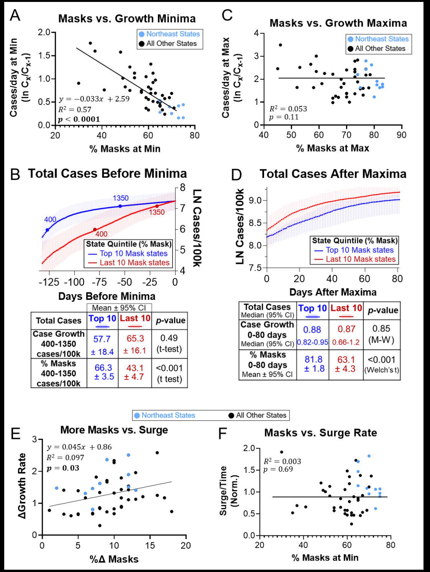